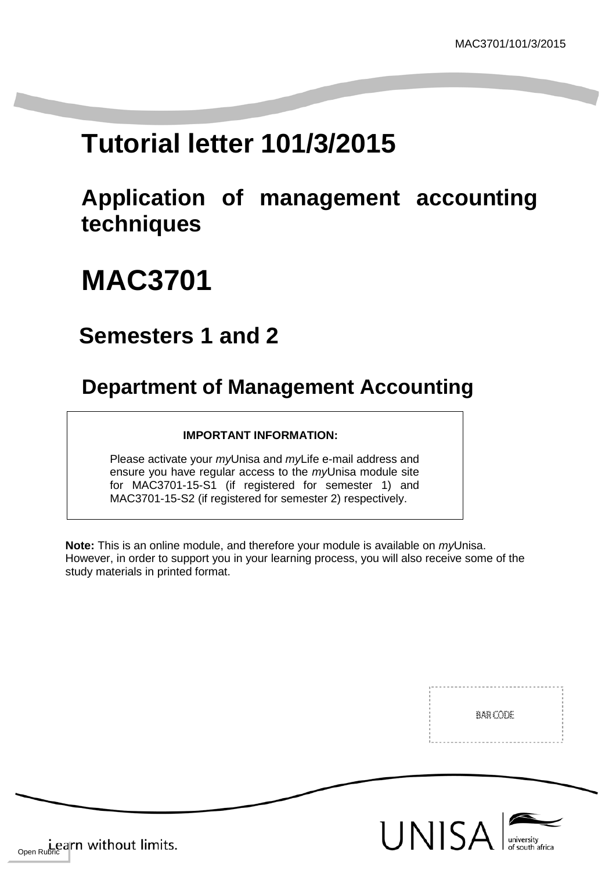# **Tutorial letter 101/3/2015**

## **Application of management accounting techniques**

# **MAC3701**

## **Semesters 1 and 2**

## **Department of Management Accounting**

## **IMPORTANT INFORMATION:**

Please activate your *my*Unisa and *my*Life e-mail address and ensure you have regular access to the *my*Unisa module site for MAC3701-15-S1 (if registered for semester 1) and MAC3701-15-S2 (if registered for semester 2) respectively.

**Note:** This is an online module, and therefore your module is available on *my*Unisa. However, in order to support you in your learning process, you will also receive some of the study materials in printed format.

BARCODE





<sub>Open Rubric</sub> arn without limits.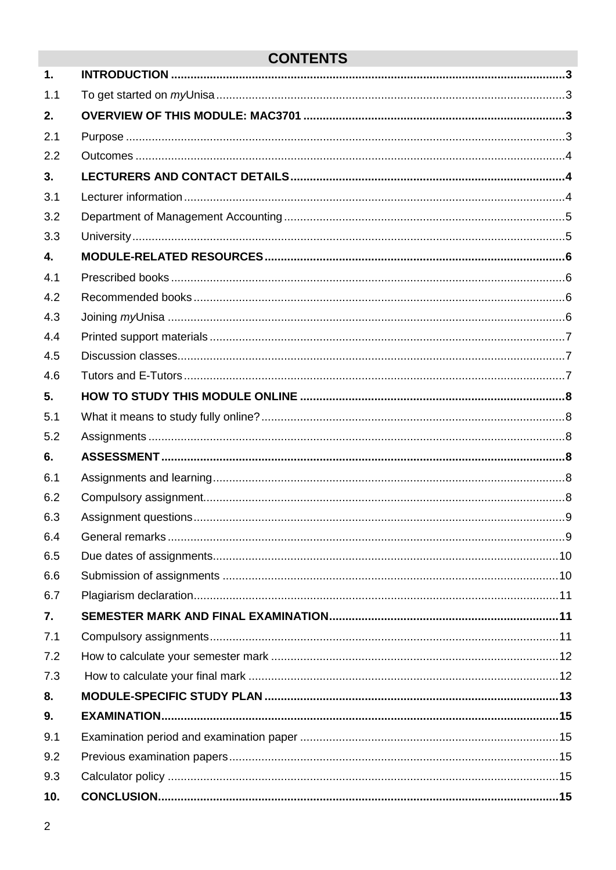## **CONTENTS**

| 1.               |  |
|------------------|--|
| 1.1              |  |
| 2.               |  |
| 2.1              |  |
| 2.2              |  |
| 3.               |  |
| 3.1              |  |
| 3.2              |  |
| 3.3              |  |
| 4.               |  |
| 4.1              |  |
| 4.2              |  |
| 4.3              |  |
| 4.4              |  |
| 4.5              |  |
| 4.6              |  |
| 5.               |  |
| 5.1              |  |
| 5.2              |  |
| 6.               |  |
| 6.1              |  |
| 6.2              |  |
| 6.3              |  |
| 6.4              |  |
| 6.5              |  |
| 6.6              |  |
| 6.7              |  |
| $\overline{7}$ . |  |
| 7.1              |  |
| 7.2              |  |
| 7.3              |  |
| 8.               |  |
| 9.               |  |
| 9.1              |  |
| 9.2              |  |
| 9.3              |  |
| 10.              |  |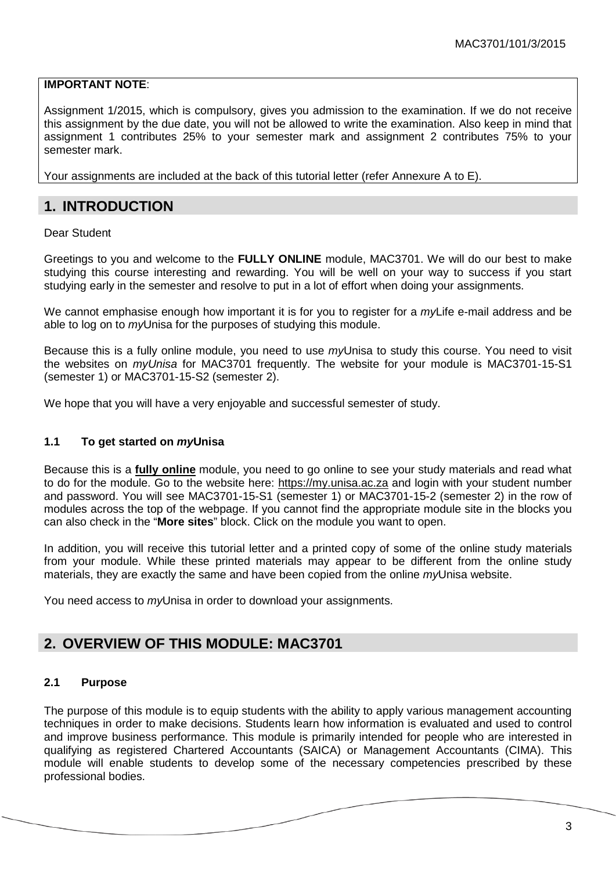## **IMPORTANT NOTE**:

Assignment 1/2015, which is compulsory, gives you admission to the examination. If we do not receive this assignment by the due date, you will not be allowed to write the examination. Also keep in mind that assignment 1 contributes 25% to your semester mark and assignment 2 contributes 75% to your semester mark.

Your assignments are included at the back of this tutorial letter (refer Annexure A to E).

## <span id="page-2-0"></span>**1. INTRODUCTION**

Dear Student

Greetings to you and welcome to the **FULLY ONLINE** module, MAC3701. We will do our best to make studying this course interesting and rewarding. You will be well on your way to success if you start studying early in the semester and resolve to put in a lot of effort when doing your assignments.

We cannot emphasise enough how important it is for you to register for a *my*Life e-mail address and be able to log on to *my*Unisa for the purposes of studying this module.

Because this is a fully online module, you need to use *my*Unisa to study this course. You need to visit the websites on *myUnisa* for MAC3701 frequently. The website for your module is MAC3701-15-S1 (semester 1) or MAC3701-15-S2 (semester 2).

We hope that you will have a very enjoyable and successful semester of study.

#### <span id="page-2-1"></span>**1.1 To get started on** *my***Unisa**

Because this is a **fully online** module, you need to go online to see your study materials and read what to do for the module. Go to the website here: [https://my.unisa.ac.za](https://my.unisa.ac.za/) and login with your student number and password. You will see MAC3701-15-S1 (semester 1) or MAC3701-15-2 (semester 2) in the row of modules across the top of the webpage. If you cannot find the appropriate module site in the blocks you can also check in the "**More sites**" block. Click on the module you want to open.

In addition, you will receive this tutorial letter and a printed copy of some of the online study materials from your module. While these printed materials may appear to be different from the online study materials, they are exactly the same and have been copied from the online *my*Unisa website.

You need access to *my*Unisa in order to download your assignments.

## <span id="page-2-2"></span>**2. OVERVIEW OF THIS MODULE: MAC3701**

## <span id="page-2-3"></span>**2.1 Purpose**

The purpose of this module is to equip students with the ability to apply various management accounting techniques in order to make decisions. Students learn how information is evaluated and used to control and improve business performance. This module is primarily intended for people who are interested in qualifying as registered Chartered Accountants (SAICA) or Management Accountants (CIMA). This module will enable students to develop some of the necessary competencies prescribed by these professional bodies.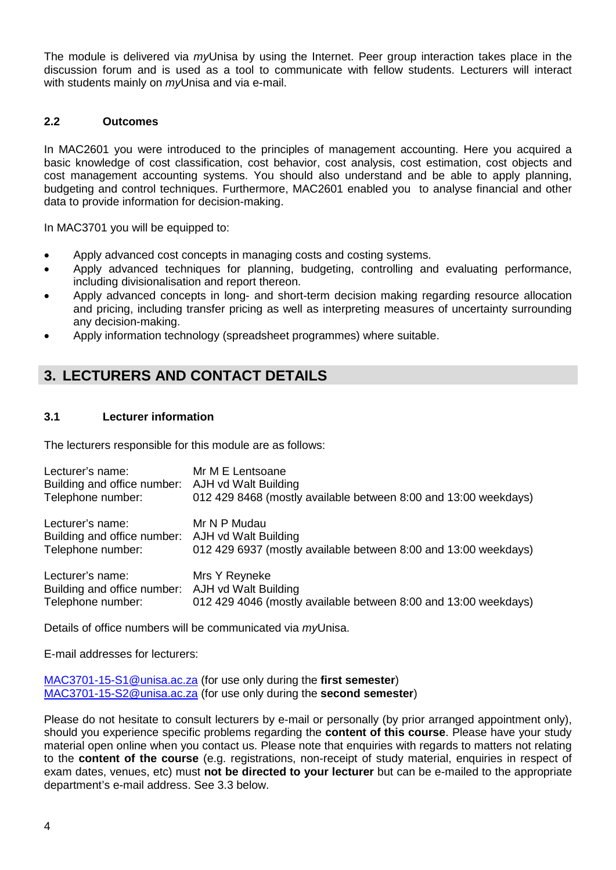The module is delivered via *my*Unisa by using the Internet. Peer group interaction takes place in the discussion forum and is used as a tool to communicate with fellow students. Lecturers will interact with students mainly on *my*Unisa and via e-mail.

#### <span id="page-3-0"></span>**2.2 Outcomes**

In MAC2601 you were introduced to the principles of management accounting. Here you acquired a basic knowledge of cost classification, cost behavior, cost analysis, cost estimation, cost objects and cost management accounting systems. You should also understand and be able to apply planning, budgeting and control techniques. Furthermore, MAC2601 enabled you to analyse financial and other data to provide information for decision-making.

In MAC3701 you will be equipped to:

- Apply advanced cost concepts in managing costs and costing systems.
- Apply advanced techniques for planning, budgeting, controlling and evaluating performance, including divisionalisation and report thereon.
- Apply advanced concepts in long- and short-term decision making regarding resource allocation and pricing, including transfer pricing as well as interpreting measures of uncertainty surrounding any decision-making.
- Apply information technology (spreadsheet programmes) where suitable.

## <span id="page-3-1"></span>**3. LECTURERS AND CONTACT DETAILS**

#### <span id="page-3-2"></span>**3.1 Lecturer information**

The lecturers responsible for this module are as follows:

| Lecturer's name:<br>Building and office number: AJH vd Walt Building<br>Telephone number: | Mr M E Lentsoane<br>012 429 8468 (mostly available between 8:00 and 13:00 weekdays) |
|-------------------------------------------------------------------------------------------|-------------------------------------------------------------------------------------|
| Lecturer's name:<br>Building and office number: AJH vd Walt Building<br>Telephone number: | Mr N P Mudau<br>012 429 6937 (mostly available between 8:00 and 13:00 weekdays)     |
| Lecturer's name:<br>Building and office number: AJH vd Walt Building<br>Telephone number: | Mrs Y Reyneke<br>012 429 4046 (mostly available between 8:00 and 13:00 weekdays)    |

Details of office numbers will be communicated via *my*Unisa.

E-mail addresses for lecturers:

[MAC3701-15-S1@unisa.ac.za](mailto:MAC3701-15-S1@unisa.ac.za) (for use only during the **first semester**) [MAC3701-15-S2@unisa.ac.za](mailto:MAC3701-15-S2@unisa.ac.za) (for use only during the **second semester**)

Please do not hesitate to consult lecturers by e-mail or personally (by prior arranged appointment only), should you experience specific problems regarding the **content of this course**. Please have your study material open online when you contact us. Please note that enquiries with regards to matters not relating to the **content of the course** (e.g. registrations, non-receipt of study material, enquiries in respect of exam dates, venues, etc) must **not be directed to your lecturer** but can be e-mailed to the appropriate department's e-mail address. See 3.3 below.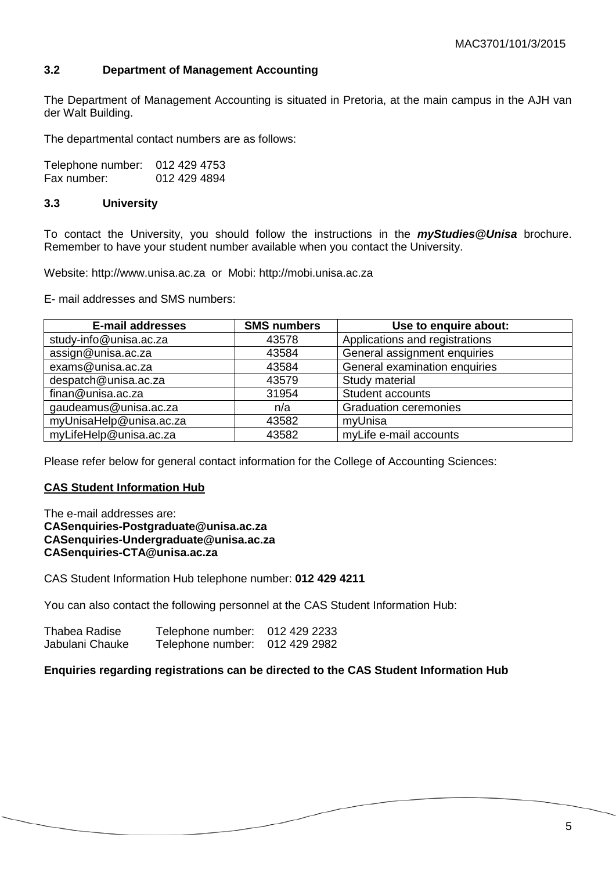#### <span id="page-4-0"></span>**3.2 Department of Management Accounting**

The Department of Management Accounting is situated in Pretoria, at the main campus in the AJH van der Walt Building.

The departmental contact numbers are as follows:

Telephone number: 012 429 4753<br>Fax number: 012 429 4894 012 429 4894

#### <span id="page-4-1"></span>**3.3 University**

To contact the University, you should follow the instructions in the *myStudies@Unisa* brochure. Remember to have your student number available when you contact the University.

Website: http://www.unisa.ac.za or Mobi: [http://mobi.unisa.ac.za](http://mobi.unisa.ac.za/)

E- mail addresses and SMS numbers:

| <b>E-mail addresses</b> | <b>SMS numbers</b> | Use to enquire about:          |
|-------------------------|--------------------|--------------------------------|
| study-info@unisa.ac.za  | 43578              | Applications and registrations |
| assign@unisa.ac.za      | 43584              | General assignment enquiries   |
| exams@unisa.ac.za       | 43584              | General examination enquiries  |
| despatch@unisa.ac.za    | 43579              | Study material                 |
| finan@unisa.ac.za       | 31954              | Student accounts               |
| gaudeamus@unisa.ac.za   | n/a                | <b>Graduation ceremonies</b>   |
| myUnisaHelp@unisa.ac.za | 43582              | myUnisa                        |
| myLifeHelp@unisa.ac.za  | 43582              | myLife e-mail accounts         |

Please refer below for general contact information for the College of Accounting Sciences:

#### **CAS Student Information Hub**

The e-mail addresses are: **[CASenquiries-Postgraduate@unisa.ac.za](https://mobile.unisa.ac.za/OWA/redir.aspx?C=52j4v4_fyUmtBoRCcbL8o9e8CkKoQ9FIklxiuW4UyyH-G1oUhJXUUiDaeJU_VXBn4lcVxwUUc_Q.&URL=mailto%3aCASenquiries-Postgraduate%40unisa.ac.za) [CASenquiries-Undergraduate@unisa.ac.za](https://mobile.unisa.ac.za/OWA/redir.aspx?C=52j4v4_fyUmtBoRCcbL8o9e8CkKoQ9FIklxiuW4UyyH-G1oUhJXUUiDaeJU_VXBn4lcVxwUUc_Q.&URL=mailto%3aCASenquiries-Undergraduate%40unisa.ac.za) [CASenquiries-CTA@unisa.ac.za](https://mobile.unisa.ac.za/OWA/redir.aspx?C=52j4v4_fyUmtBoRCcbL8o9e8CkKoQ9FIklxiuW4UyyH-G1oUhJXUUiDaeJU_VXBn4lcVxwUUc_Q.&URL=mailto%3aCASenquiries-CTA%40unisa.ac.za)**

CAS Student Information Hub telephone number: **012 429 4211**

You can also contact the following personnel at the CAS Student Information Hub:

Thabea Radise Telephone number: 012 429 2233 Jabulani Chauke Telephone number: 012 429 2982

#### **Enquiries regarding registrations can be directed to the CAS Student Information Hub**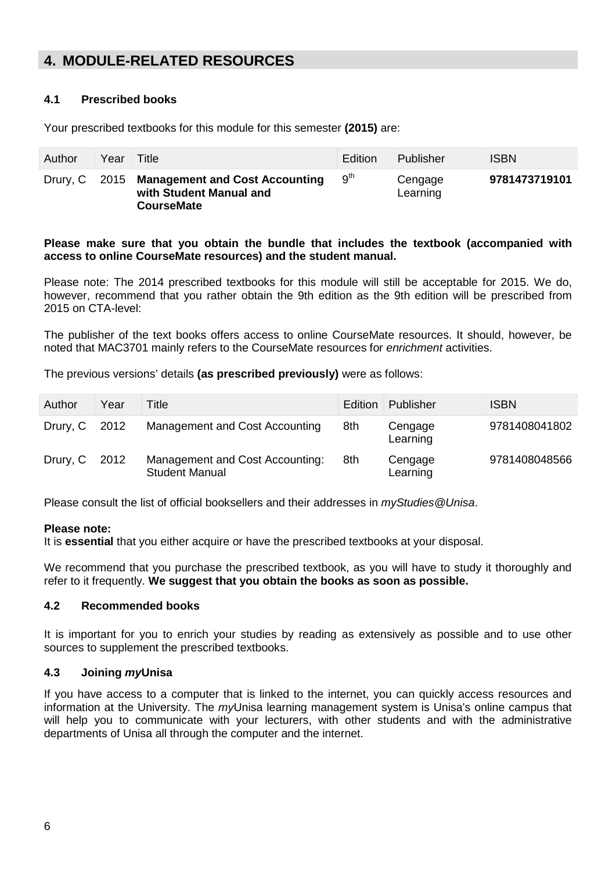## <span id="page-5-0"></span>**4. MODULE-RELATED RESOURCES**

#### <span id="page-5-1"></span>**4.1 Prescribed books**

Your prescribed textbooks for this module for this semester **(2015)** are:

| Author | Year | Title                                                                                        | <b>Edition</b>  | Publisher           | <b>ISBN</b>   |
|--------|------|----------------------------------------------------------------------------------------------|-----------------|---------------------|---------------|
|        |      | Drury, C 2015 Management and Cost Accounting<br>with Student Manual and<br><b>CourseMate</b> | 9 <sup>tn</sup> | Cengage<br>Learning | 9781473719101 |

#### **Please make sure that you obtain the bundle that includes the textbook (accompanied with access to online CourseMate resources) and the student manual.**

Please note: The 2014 prescribed textbooks for this module will still be acceptable for 2015. We do, however, recommend that you rather obtain the 9th edition as the 9th edition will be prescribed from 2015 on CTA-level:

The publisher of the text books offers access to online CourseMate resources. It should, however, be noted that MAC3701 mainly refers to the CourseMate resources for *enrichment* activities.

The previous versions' details **(as prescribed previously)** were as follows:

| Author        | Year | Title                                                    | <b>Edition</b> | Publisher           | <b>ISBN</b>   |
|---------------|------|----------------------------------------------------------|----------------|---------------------|---------------|
| Drury, C 2012 |      | Management and Cost Accounting                           | 8th            | Cengage<br>Learning | 9781408041802 |
| Drury, C 2012 |      | Management and Cost Accounting:<br><b>Student Manual</b> | 8th            | Cengage<br>Learning | 9781408048566 |

Please consult the list of official booksellers and their addresses in *myStudies@Unisa*.

#### **Please note:**

It is **essential** that you either acquire or have the prescribed textbooks at your disposal.

We recommend that you purchase the prescribed textbook, as you will have to study it thoroughly and refer to it frequently. **We suggest that you obtain the books as soon as possible.**

#### <span id="page-5-2"></span>**4.2 Recommended books**

It is important for you to enrich your studies by reading as extensively as possible and to use other sources to supplement the prescribed textbooks.

#### <span id="page-5-3"></span>**4.3 Joining** *my***Unisa**

If you have access to a computer that is linked to the internet, you can quickly access resources and information at the University. The *my*Unisa learning management system is Unisa's online campus that will help you to communicate with your lecturers, with other students and with the administrative departments of Unisa all through the computer and the internet.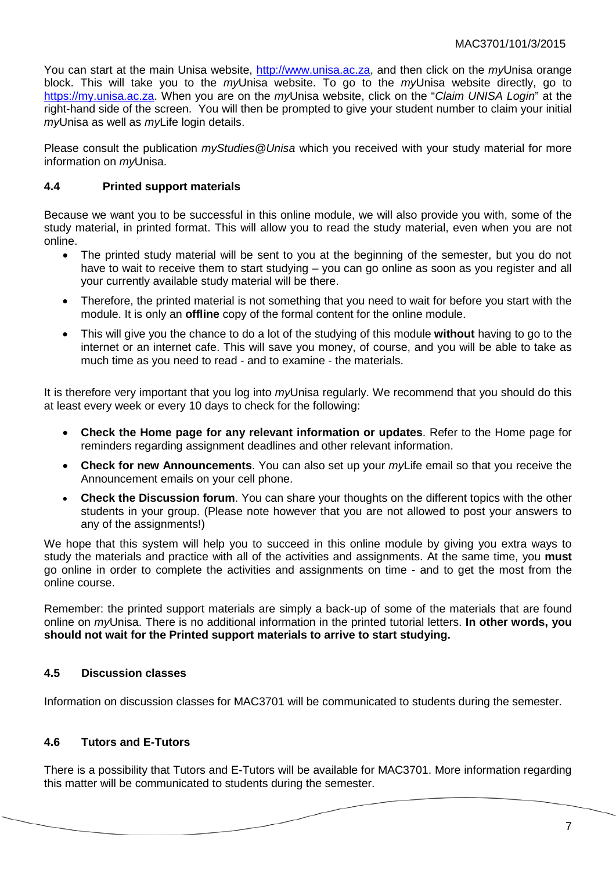You can start at the main Unisa website, [http://www.unisa.ac.za,](http://www.unisa.ac.za/) and then click on the *my*Unisa orange block. This will take you to the *my*Unisa website. To go to the *my*Unisa website directly, go to [https://my.unisa.ac.za.](https://my.unisa.ac.za/) When you are on the *my*Unisa website, click on the "*Claim UNISA Login*" at the right-hand side of the screen. You will then be prompted to give your student number to claim your initial *my*Unisa as well as *my*Life login details.

Please consult the publication *myStudies@Unisa* which you received with your study material for more information on *my*Unisa.

#### <span id="page-6-0"></span>**4.4 Printed support materials**

Because we want you to be successful in this online module, we will also provide you with, some of the study material, in printed format. This will allow you to read the study material, even when you are not online.

- The printed study material will be sent to you at the beginning of the semester, but you do not have to wait to receive them to start studying – you can go online as soon as you register and all your currently available study material will be there.
- Therefore, the printed material is not something that you need to wait for before you start with the module. It is only an **offline** copy of the formal content for the online module.
- This will give you the chance to do a lot of the studying of this module **without** having to go to the internet or an internet cafe. This will save you money, of course, and you will be able to take as much time as you need to read - and to examine - the materials.

It is therefore very important that you log into *my*Unisa regularly. We recommend that you should do this at least every week or every 10 days to check for the following:

- **Check the Home page for any relevant information or updates**. Refer to the Home page for reminders regarding assignment deadlines and other relevant information.
- **Check for new Announcements**. You can also set up your *my*Life email so that you receive the Announcement emails on your cell phone.
- **Check the Discussion forum**. You can share your thoughts on the different topics with the other students in your group. (Please note however that you are not allowed to post your answers to any of the assignments!)

We hope that this system will help you to succeed in this online module by giving you extra ways to study the materials and practice with all of the activities and assignments. At the same time, you **must** go online in order to complete the activities and assignments on time - and to get the most from the online course.

Remember: the printed support materials are simply a back-up of some of the materials that are found online on *my*Unisa. There is no additional information in the printed tutorial letters. **In other words, you should not wait for the Printed support materials to arrive to start studying.**

## <span id="page-6-1"></span>**4.5 Discussion classes**

Information on discussion classes for MAC3701 will be communicated to students during the semester.

## <span id="page-6-2"></span>**4.6 Tutors and E-Tutors**

There is a possibility that Tutors and E-Tutors will be available for MAC3701. More information regarding this matter will be communicated to students during the semester.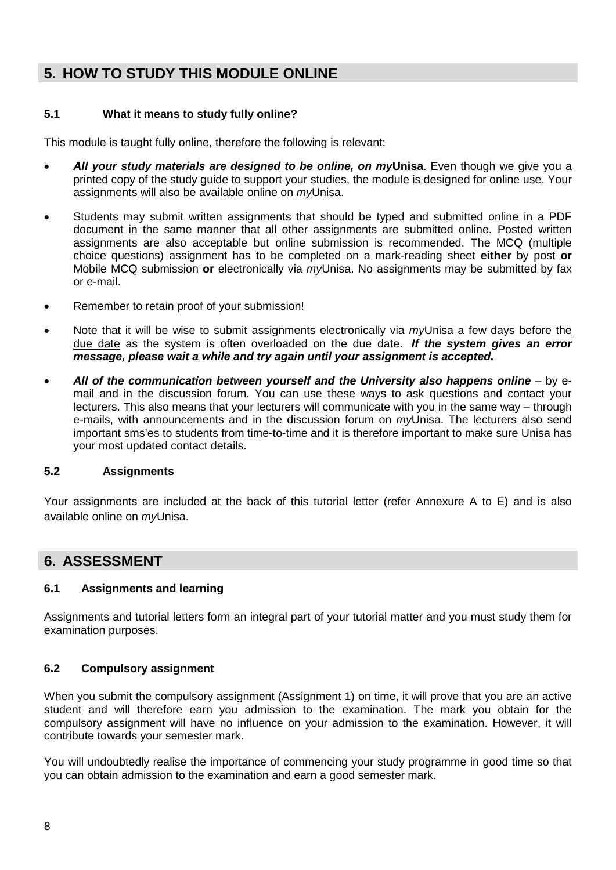## <span id="page-7-0"></span>**5. HOW TO STUDY THIS MODULE ONLINE**

#### <span id="page-7-1"></span>**5.1 What it means to study fully online?**

This module is taught fully online, therefore the following is relevant:

- *All your study materials are designed to be online, on my***Unisa**. Even though we give you a printed copy of the study guide to support your studies, the module is designed for online use. Your assignments will also be available online on *my*Unisa.
- Students may submit written assignments that should be typed and submitted online in a PDF document in the same manner that all other assignments are submitted online. Posted written assignments are also acceptable but online submission is recommended. The MCQ (multiple choice questions) assignment has to be completed on a mark-reading sheet **either** by post **or** Mobile MCQ submission **or** electronically via *my*Unisa. No assignments may be submitted by fax or e-mail.
- Remember to retain proof of your submission!
- Note that it will be wise to submit assignments electronically via *my*Unisa a few days before the due date as the system is often overloaded on the due date. *If the system gives an error message, please wait a while and try again until your assignment is accepted.*
- All of the communication between yourself and the University also happens online by email and in the discussion forum. You can use these ways to ask questions and contact your lecturers. This also means that your lecturers will communicate with you in the same way – through e-mails, with announcements and in the discussion forum on *my*Unisa. The lecturers also send important sms'es to students from time-to-time and it is therefore important to make sure Unisa has your most updated contact details.

#### <span id="page-7-2"></span>**5.2 Assignments**

Your assignments are included at the back of this tutorial letter (refer Annexure A to E) and is also available online on *my*Unisa.

## <span id="page-7-3"></span>**6. ASSESSMENT**

#### <span id="page-7-4"></span>**6.1 Assignments and learning**

Assignments and tutorial letters form an integral part of your tutorial matter and you must study them for examination purposes.

#### <span id="page-7-5"></span>**6.2 Compulsory assignment**

When you submit the compulsory assignment (Assignment 1) on time, it will prove that you are an active student and will therefore earn you admission to the examination. The mark you obtain for the compulsory assignment will have no influence on your admission to the examination. However, it will contribute towards your semester mark.

You will undoubtedly realise the importance of commencing your study programme in good time so that you can obtain admission to the examination and earn a good semester mark.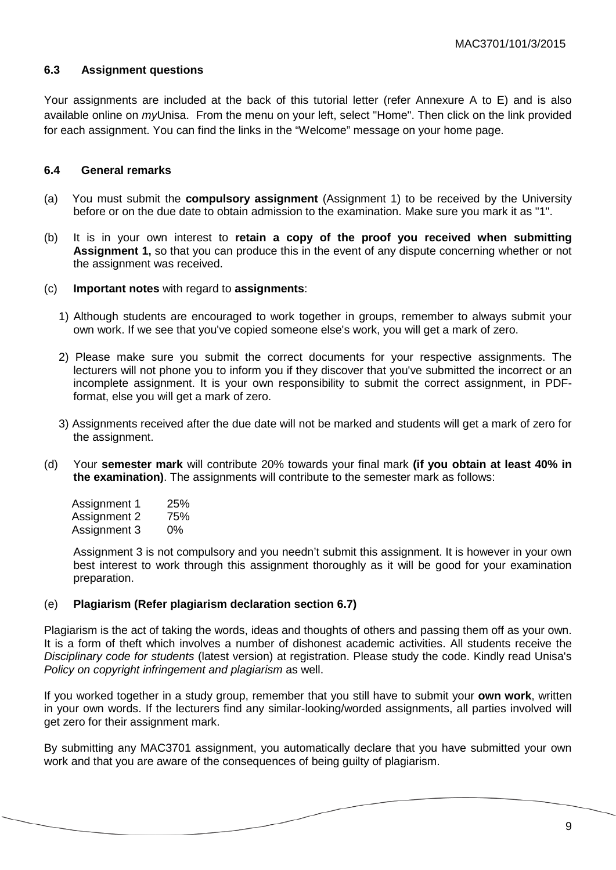#### <span id="page-8-0"></span>**6.3 Assignment questions**

Your assignments are included at the back of this tutorial letter (refer Annexure A to E) and is also available online on *my*Unisa. From the menu on your left, select "Home". Then click on the link provided for each assignment. You can find the links in the "Welcome" message on your home page.

#### <span id="page-8-1"></span>**6.4 General remarks**

- (a) You must submit the **compulsory assignment** (Assignment 1) to be received by the University before or on the due date to obtain admission to the examination. Make sure you mark it as "1".
- (b) It is in your own interest to **retain a copy of the proof you received when submitting Assignment 1,** so that you can produce this in the event of any dispute concerning whether or not the assignment was received.
- (c) **Important notes** with regard to **assignments**:
	- 1) Although students are encouraged to work together in groups, remember to always submit your own work. If we see that you've copied someone else's work, you will get a mark of zero.
	- 2) Please make sure you submit the correct documents for your respective assignments. The lecturers will not phone you to inform you if they discover that you've submitted the incorrect or an incomplete assignment. It is your own responsibility to submit the correct assignment, in PDFformat, else you will get a mark of zero.
	- 3) Assignments received after the due date will not be marked and students will get a mark of zero for the assignment.
- (d) Your **semester mark** will contribute 20% towards your final mark **(if you obtain at least 40% in the examination)**. The assignments will contribute to the semester mark as follows:

| Assignment 1 | 25% |
|--------------|-----|
| Assignment 2 | 75% |
| Assignment 3 | 0%  |

Assignment 3 is not compulsory and you needn't submit this assignment. It is however in your own best interest to work through this assignment thoroughly as it will be good for your examination preparation.

#### (e) **Plagiarism (Refer plagiarism declaration section 6.7)**

Plagiarism is the act of taking the words, ideas and thoughts of others and passing them off as your own. It is a form of theft which involves a number of dishonest academic activities. All students receive the *Disciplinary code for students* (latest version) at registration. Please study the code. Kindly read Unisa's *Policy on copyright infringement and plagiarism* as well.

If you worked together in a study group, remember that you still have to submit your **own work**, written in your own words. If the lecturers find any similar-looking/worded assignments, all parties involved will get zero for their assignment mark.

<span id="page-8-2"></span>By submitting any MAC3701 assignment, you automatically declare that you have submitted your own work and that you are aware of the consequences of being guilty of plagiarism.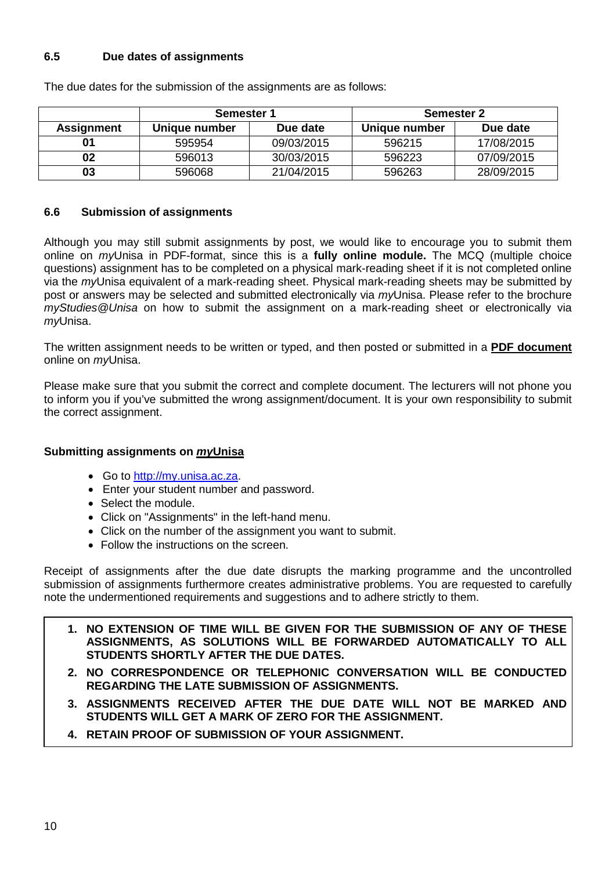## **6.5 Due dates of assignments**

|                   | <b>Semester 1</b>         |            | <b>Semester 2</b> |            |
|-------------------|---------------------------|------------|-------------------|------------|
| <b>Assignment</b> | Due date<br>Unique number |            | Unique number     | Due date   |
| 01                | 595954                    | 09/03/2015 | 596215            | 17/08/2015 |
| 02                | 596013                    | 30/03/2015 | 596223            | 07/09/2015 |
| 03                | 596068                    | 21/04/2015 | 596263            | 28/09/2015 |

The due dates for the submission of the assignments are as follows:

#### <span id="page-9-0"></span>**6.6 Submission of assignments**

Although you may still submit assignments by post, we would like to encourage you to submit them online on *my*Unisa in PDF-format, since this is a **fully online module.** The MCQ (multiple choice questions) assignment has to be completed on a physical mark-reading sheet if it is not completed online via the *my*Unisa equivalent of a mark-reading sheet. Physical mark-reading sheets may be submitted by post or answers may be selected and submitted electronically via *my*Unisa. Please refer to the brochure *myStudies@Unisa* on how to submit the assignment on a mark-reading sheet or electronically via *my*Unisa.

The written assignment needs to be written or typed, and then posted or submitted in a **PDF document** online on *my*Unisa.

Please make sure that you submit the correct and complete document. The lecturers will not phone you to inform you if you've submitted the wrong assignment/document. It is your own responsibility to submit the correct assignment.

#### **Submitting assignments on** *my***Unisa**

- Go to [http://my.unisa.ac.za.](http://my.unisa.ac.za/)
- Enter your student number and password.
- Select the module.
- Click on "Assignments" in the left-hand menu.
- Click on the number of the assignment you want to submit.
- Follow the instructions on the screen.

Receipt of assignments after the due date disrupts the marking programme and the uncontrolled submission of assignments furthermore creates administrative problems. You are requested to carefully note the undermentioned requirements and suggestions and to adhere strictly to them.

- **1. NO EXTENSION OF TIME WILL BE GIVEN FOR THE SUBMISSION OF ANY OF THESE ASSIGNMENTS, AS SOLUTIONS WILL BE FORWARDED AUTOMATICALLY TO ALL STUDENTS SHORTLY AFTER THE DUE DATES.**
- **2. NO CORRESPONDENCE OR TELEPHONIC CONVERSATION WILL BE CONDUCTED REGARDING THE LATE SUBMISSION OF ASSIGNMENTS.**
- **3. ASSIGNMENTS RECEIVED AFTER THE DUE DATE WILL NOT BE MARKED AND STUDENTS WILL GET A MARK OF ZERO FOR THE ASSIGNMENT.**
- <span id="page-9-1"></span>**4. RETAIN PROOF OF SUBMISSION OF YOUR ASSIGNMENT.**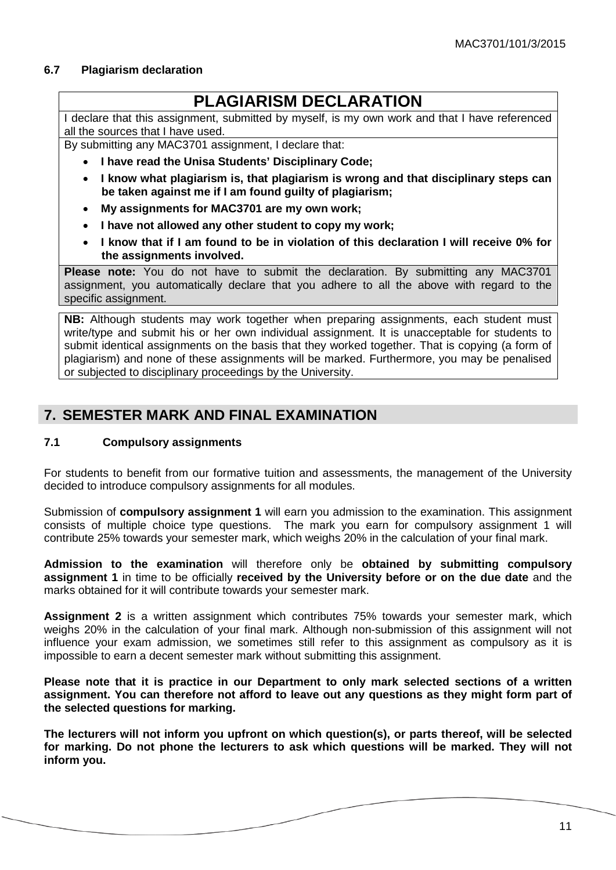#### **6.7 Plagiarism declaration**

## **PLAGIARISM DECLARATION**

I declare that this assignment, submitted by myself, is my own work and that I have referenced all the sources that I have used.

By submitting any MAC3701 assignment, I declare that:

- **I have read the Unisa Students' Disciplinary Code;**
- **I know what plagiarism is, that plagiarism is wrong and that disciplinary steps can be taken against me if I am found guilty of plagiarism;**
- **My assignments for MAC3701 are my own work;**
- **I have not allowed any other student to copy my work;**
- **I know that if I am found to be in violation of this declaration I will receive 0% for the assignments involved.**

**Please note:** You do not have to submit the declaration. By submitting any MAC3701 assignment, you automatically declare that you adhere to all the above with regard to the specific assignment.

**NB:** Although students may work together when preparing assignments, each student must write/type and submit his or her own individual assignment. It is unacceptable for students to submit identical assignments on the basis that they worked together. That is copying (a form of plagiarism) and none of these assignments will be marked. Furthermore, you may be penalised or subjected to disciplinary proceedings by the University.

## <span id="page-10-0"></span>**7. SEMESTER MARK AND FINAL EXAMINATION**

#### <span id="page-10-1"></span>**7.1 Compulsory assignments**

For students to benefit from our formative tuition and assessments, the management of the University decided to introduce compulsory assignments for all modules.

Submission of **compulsory assignment 1** will earn you admission to the examination. This assignment consists of multiple choice type questions. The mark you earn for compulsory assignment 1 will contribute 25% towards your semester mark, which weighs 20% in the calculation of your final mark.

**Admission to the examination** will therefore only be **obtained by submitting compulsory assignment 1** in time to be officially **received by the University before or on the due date** and the marks obtained for it will contribute towards your semester mark.

**Assignment 2** is a written assignment which contributes 75% towards your semester mark, which weighs 20% in the calculation of your final mark. Although non-submission of this assignment will not influence your exam admission, we sometimes still refer to this assignment as compulsory as it is impossible to earn a decent semester mark without submitting this assignment.

**Please note that it is practice in our Department to only mark selected sections of a written assignment. You can therefore not afford to leave out any questions as they might form part of the selected questions for marking.**

**The lecturers will not inform you upfront on which question(s), or parts thereof, will be selected for marking. Do not phone the lecturers to ask which questions will be marked. They will not inform you.**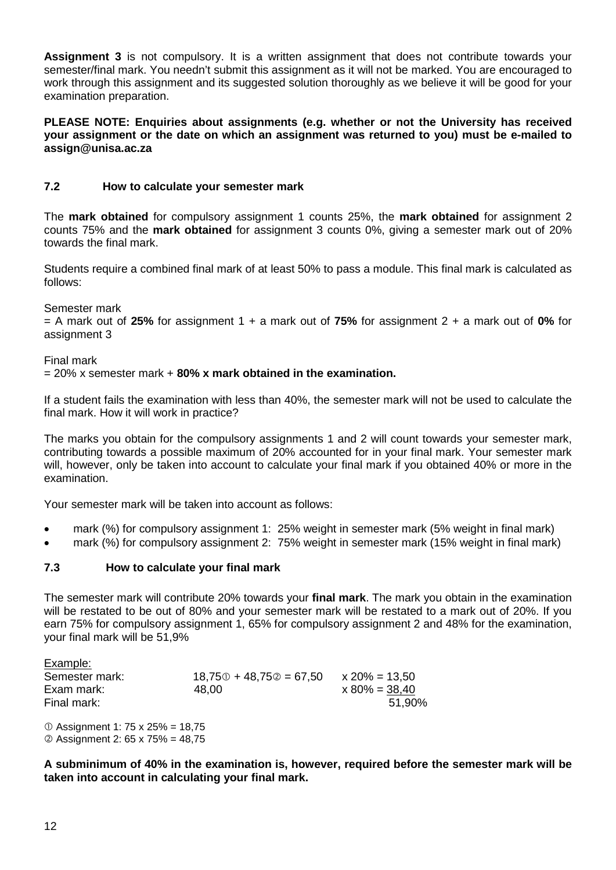**Assignment 3** is not compulsory. It is a written assignment that does not contribute towards your semester/final mark. You needn't submit this assignment as it will not be marked. You are encouraged to work through this assignment and its suggested solution thoroughly as we believe it will be good for your examination preparation.

#### **PLEASE NOTE: Enquiries about assignments (e.g. whether or not the University has received your assignment or the date on which an assignment was returned to you) must be e-mailed to assign@unisa.ac.za**

#### <span id="page-11-0"></span>**7.2 How to calculate your semester mark**

The **mark obtained** for compulsory assignment 1 counts 25%, the **mark obtained** for assignment 2 counts 75% and the **mark obtained** for assignment 3 counts 0%, giving a semester mark out of 20% towards the final mark.

Students require a combined final mark of at least 50% to pass a module. This final mark is calculated as follows:

Semester mark

= A mark out of **25%** for assignment 1 + a mark out of **75%** for assignment 2 + a mark out of **0%** for assignment 3

Final mark

= 20% x semester mark + **80% x mark obtained in the examination.**

If a student fails the examination with less than 40%, the semester mark will not be used to calculate the final mark. How it will work in practice?

The marks you obtain for the compulsory assignments 1 and 2 will count towards your semester mark, contributing towards a possible maximum of 20% accounted for in your final mark. Your semester mark will, however, only be taken into account to calculate your final mark if you obtained 40% or more in the examination.

Your semester mark will be taken into account as follows:

- mark (%) for compulsory assignment 1: 25% weight in semester mark (5% weight in final mark)
- mark (%) for compulsory assignment 2: 75% weight in semester mark (15% weight in final mark)

#### <span id="page-11-1"></span>**7.3 How to calculate your final mark**

The semester mark will contribute 20% towards your **final mark**. The mark you obtain in the examination will be restated to be out of 80% and your semester mark will be restated to a mark out of 20%. If you earn 75% for compulsory assignment 1, 65% for compulsory assignment 2 and 48% for the examination, your final mark will be 51,9%

| Example:       |                           |                  |
|----------------|---------------------------|------------------|
| Semester mark: | $18,750 + 48,750 = 67,50$ | $x 20\% = 13.50$ |
| Exam mark:     | 48,00                     | $x 80\% = 38,40$ |
| Final mark:    |                           | 51,90%           |
|                |                           |                  |

 $O$  Assignment 1: 75 x 25% = 18,75 Assignment 2: 65 x 75% = 48,75

**A subminimum of 40% in the examination is, however, required before the semester mark will be taken into account in calculating your final mark.**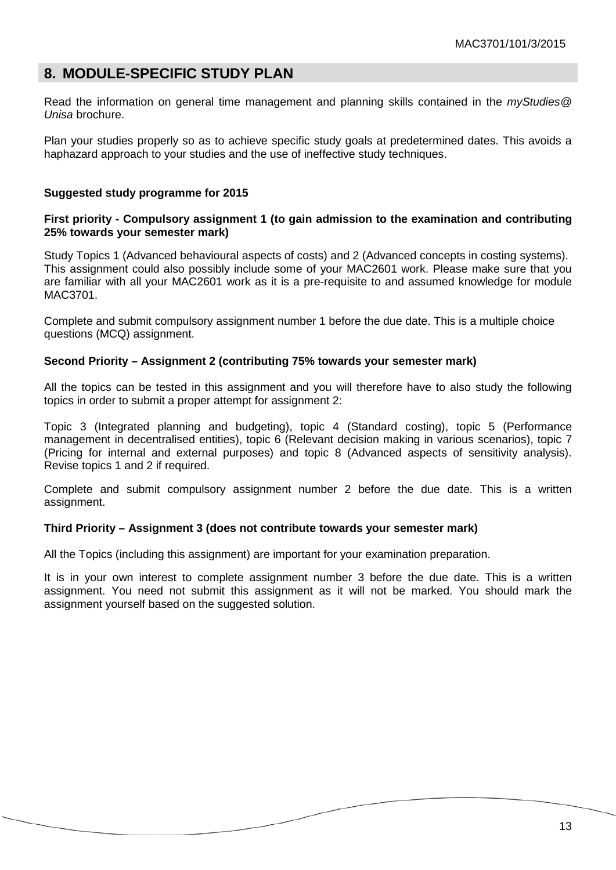## <span id="page-12-0"></span>**8. MODULE-SPECIFIC STUDY PLAN**

Read the information on general time management and planning skills contained in the *myStudies@ Unisa* brochure.

Plan your studies properly so as to achieve specific study goals at predetermined dates. This avoids a haphazard approach to your studies and the use of ineffective study techniques.

#### **Suggested study programme for 2015**

#### **First priority - Compulsory assignment 1 (to gain admission to the examination and contributing 25% towards your semester mark)**

Study Topics 1 (Advanced behavioural aspects of costs) and 2 (Advanced concepts in costing systems). This assignment could also possibly include some of your MAC2601 work. Please make sure that you are familiar with all your MAC2601 work as it is a pre-requisite to and assumed knowledge for module MAC3701.

Complete and submit compulsory assignment number 1 before the due date. This is a multiple choice questions (MCQ) assignment.

#### **Second Priority – Assignment 2 (contributing 75% towards your semester mark)**

All the topics can be tested in this assignment and you will therefore have to also study the following topics in order to submit a proper attempt for assignment 2:

Topic 3 (Integrated planning and budgeting), topic 4 (Standard costing), topic 5 (Performance management in decentralised entities), topic 6 (Relevant decision making in various scenarios), topic 7 (Pricing for internal and external purposes) and topic 8 (Advanced aspects of sensitivity analysis). Revise topics 1 and 2 if required.

Complete and submit compulsory assignment number 2 before the due date. This is a written assignment.

#### **Third Priority – Assignment 3 (does not contribute towards your semester mark)**

All the Topics (including this assignment) are important for your examination preparation.

It is in your own interest to complete assignment number 3 before the due date. This is a written assignment. You need not submit this assignment as it will not be marked. You should mark the assignment yourself based on the suggested solution.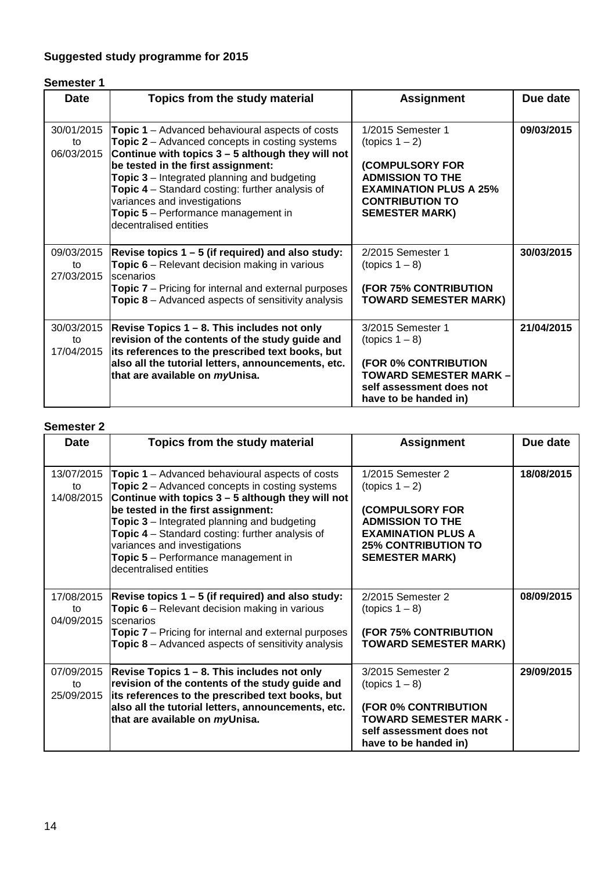## **Suggested study programme for 2015**

## **Semester 1**

| <b>Date</b>                    | Topics from the study material                                                                                                                                                                                                                                                                                                                                                                                         | <b>Assignment</b>                                                                                                                                                        | Due date   |
|--------------------------------|------------------------------------------------------------------------------------------------------------------------------------------------------------------------------------------------------------------------------------------------------------------------------------------------------------------------------------------------------------------------------------------------------------------------|--------------------------------------------------------------------------------------------------------------------------------------------------------------------------|------------|
| 30/01/2015<br>to<br>06/03/2015 | <b>Topic 1</b> – Advanced behavioural aspects of costs<br><b>Topic 2</b> – Advanced concepts in costing systems<br>Continue with topics $3 - 5$ although they will not<br>be tested in the first assignment:<br><b>Topic 3</b> – Integrated planning and budgeting<br>Topic 4 - Standard costing: further analysis of<br>variances and investigations<br>Topic 5 - Performance management in<br>decentralised entities | 1/2015 Semester 1<br>(topics $1 - 2$ )<br>(COMPULSORY FOR<br><b>ADMISSION TO THE</b><br><b>EXAMINATION PLUS A 25%</b><br><b>CONTRIBUTION TO</b><br><b>SEMESTER MARK)</b> | 09/03/2015 |
| 09/03/2015<br>to<br>27/03/2015 | Revise topics 1 – 5 (if required) and also study:<br><b>Topic 6</b> – Relevant decision making in various<br>scenarios<br><b>Topic 7</b> – Pricing for internal and external purposes<br><b>Topic 8</b> – Advanced aspects of sensitivity analysis                                                                                                                                                                     | 2/2015 Semester 1<br>(topics $1 - 8$ )<br>(FOR 75% CONTRIBUTION<br><b>TOWARD SEMESTER MARK)</b>                                                                          | 30/03/2015 |
| 30/03/2015<br>to<br>17/04/2015 | Revise Topics 1 – 8. This includes not only<br>revision of the contents of the study guide and<br>its references to the prescribed text books, but<br>also all the tutorial letters, announcements, etc.<br>that are available on myUnisa.                                                                                                                                                                             | 3/2015 Semester 1<br>$(topics 1 - 8)$<br>(FOR 0% CONTRIBUTION<br><b>TOWARD SEMESTER MARK -</b><br>self assessment does not<br>have to be handed in)                      | 21/04/2015 |

## **Semester 2**

| <b>Date</b>                    | Topics from the study material                                                                                                                                                                                                                                                                                                                                                                                       | <b>Assignment</b>                                                                                                                                                        | Due date   |
|--------------------------------|----------------------------------------------------------------------------------------------------------------------------------------------------------------------------------------------------------------------------------------------------------------------------------------------------------------------------------------------------------------------------------------------------------------------|--------------------------------------------------------------------------------------------------------------------------------------------------------------------------|------------|
| 13/07/2015<br>to<br>14/08/2015 | <b>Topic 1</b> – Advanced behavioural aspects of costs<br><b>Topic 2</b> – Advanced concepts in costing systems<br>Continue with topics 3 - 5 although they will not<br>be tested in the first assignment:<br><b>Topic 3</b> – Integrated planning and budgeting<br>Topic 4 - Standard costing: further analysis of<br>variances and investigations<br>Topic 5 - Performance management in<br>decentralised entities | 1/2015 Semester 2<br>(topics $1 - 2$ )<br>(COMPULSORY FOR<br><b>ADMISSION TO THE</b><br><b>EXAMINATION PLUS A</b><br><b>25% CONTRIBUTION TO</b><br><b>SEMESTER MARK)</b> | 18/08/2015 |
| 17/08/2015<br>tο<br>04/09/2015 | Revise topics $1 - 5$ (if required) and also study:<br><b>Topic 6</b> – Relevant decision making in various<br>scenarios<br><b>Topic 7</b> – Pricing for internal and external purposes<br><b>Topic 8</b> – Advanced aspects of sensitivity analysis                                                                                                                                                                 | 2/2015 Semester 2<br>(topics $1 - 8$ )<br>(FOR 75% CONTRIBUTION<br><b>TOWARD SEMESTER MARK)</b>                                                                          | 08/09/2015 |
| 07/09/2015<br>to<br>25/09/2015 | Revise Topics 1 - 8. This includes not only<br>revision of the contents of the study guide and<br>its references to the prescribed text books, but<br>also all the tutorial letters, announcements, etc.<br>that are available on myUnisa.                                                                                                                                                                           | 3/2015 Semester 2<br>(topics $1 - 8$ )<br>(FOR 0% CONTRIBUTION<br><b>TOWARD SEMESTER MARK -</b><br>self assessment does not<br>have to be handed in)                     | 29/09/2015 |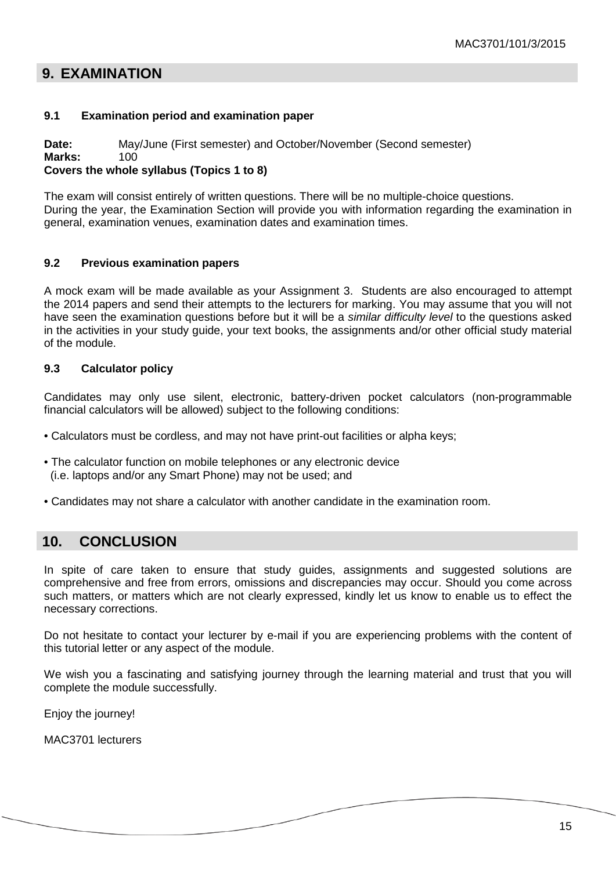## <span id="page-14-0"></span>**9. EXAMINATION**

#### <span id="page-14-1"></span>**9.1 Examination period and examination paper**

Date: May/June (First semester) and October/November (Second semester)<br>Marks: 100 **Marks:** 

#### **Covers the whole syllabus (Topics 1 to 8)**

The exam will consist entirely of written questions. There will be no multiple-choice questions. During the year, the Examination Section will provide you with information regarding the examination in general, examination venues, examination dates and examination times.

## <span id="page-14-2"></span>**9.2 Previous examination papers**

A mock exam will be made available as your Assignment 3. Students are also encouraged to attempt the 2014 papers and send their attempts to the lecturers for marking. You may assume that you will not have seen the examination questions before but it will be a *similar difficulty level* to the questions asked in the activities in your study guide, your text books, the assignments and/or other official study material of the module.

#### <span id="page-14-3"></span>**9.3 Calculator policy**

Candidates may only use silent, electronic, battery-driven pocket calculators (non-programmable financial calculators will be allowed) subject to the following conditions:

- Calculators must be cordless, and may not have print-out facilities or alpha keys;
- The calculator function on mobile telephones or any electronic device (i.e. laptops and/or any Smart Phone) may not be used; and
- Candidates may not share a calculator with another candidate in the examination room.

## <span id="page-14-4"></span>**10. CONCLUSION**

In spite of care taken to ensure that study guides, assignments and suggested solutions are comprehensive and free from errors, omissions and discrepancies may occur. Should you come across such matters, or matters which are not clearly expressed, kindly let us know to enable us to effect the necessary corrections.

Do not hesitate to contact your lecturer by e-mail if you are experiencing problems with the content of this tutorial letter or any aspect of the module.

We wish you a fascinating and satisfying journey through the learning material and trust that you will complete the module successfully.

Enjoy the journey!

MAC3701 lecturers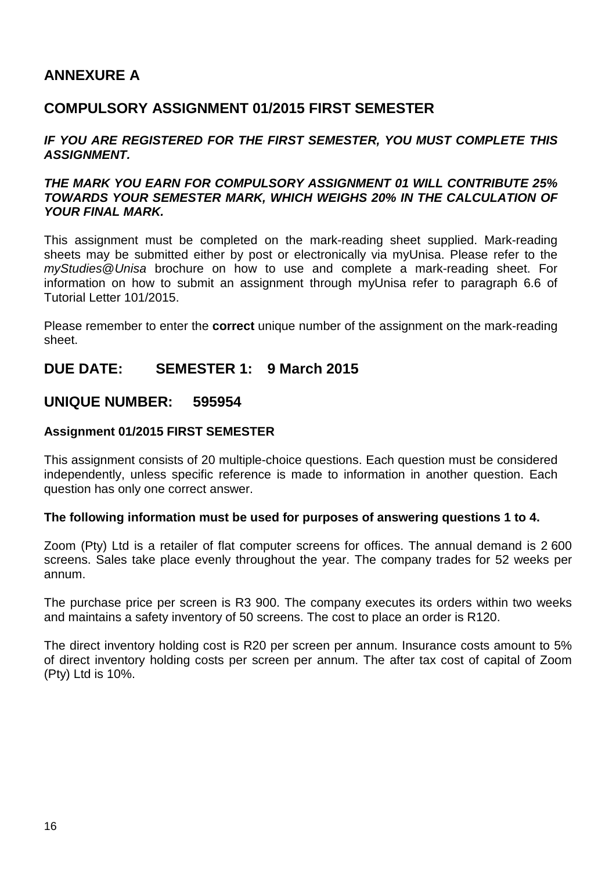## **ANNEXURE A**

## **COMPULSORY ASSIGNMENT 01/2015 FIRST SEMESTER**

## *IF YOU ARE REGISTERED FOR THE FIRST SEMESTER, YOU MUST COMPLETE THIS ASSIGNMENT.*

## *THE MARK YOU EARN FOR COMPULSORY ASSIGNMENT 01 WILL CONTRIBUTE 25% TOWARDS YOUR SEMESTER MARK, WHICH WEIGHS 20% IN THE CALCULATION OF YOUR FINAL MARK.*

This assignment must be completed on the mark-reading sheet supplied. Mark-reading sheets may be submitted either by post or electronically via myUnisa. Please refer to the *myStudies*@*Unisa* brochure on how to use and complete a mark-reading sheet. For information on how to submit an assignment through myUnisa refer to paragraph 6.6 of Tutorial Letter 101/2015.

Please remember to enter the **correct** unique number of the assignment on the mark-reading sheet.

## **DUE DATE: SEMESTER 1: 9 March 2015**

## **UNIQUE NUMBER: 595954**

## **Assignment 01/2015 FIRST SEMESTER**

This assignment consists of 20 multiple-choice questions. Each question must be considered independently, unless specific reference is made to information in another question. Each question has only one correct answer.

## **The following information must be used for purposes of answering questions 1 to 4.**

Zoom (Pty) Ltd is a retailer of flat computer screens for offices. The annual demand is 2 600 screens. Sales take place evenly throughout the year. The company trades for 52 weeks per annum.

The purchase price per screen is R3 900. The company executes its orders within two weeks and maintains a safety inventory of 50 screens. The cost to place an order is R120.

The direct inventory holding cost is R20 per screen per annum. Insurance costs amount to 5% of direct inventory holding costs per screen per annum. The after tax cost of capital of Zoom (Pty) Ltd is 10%.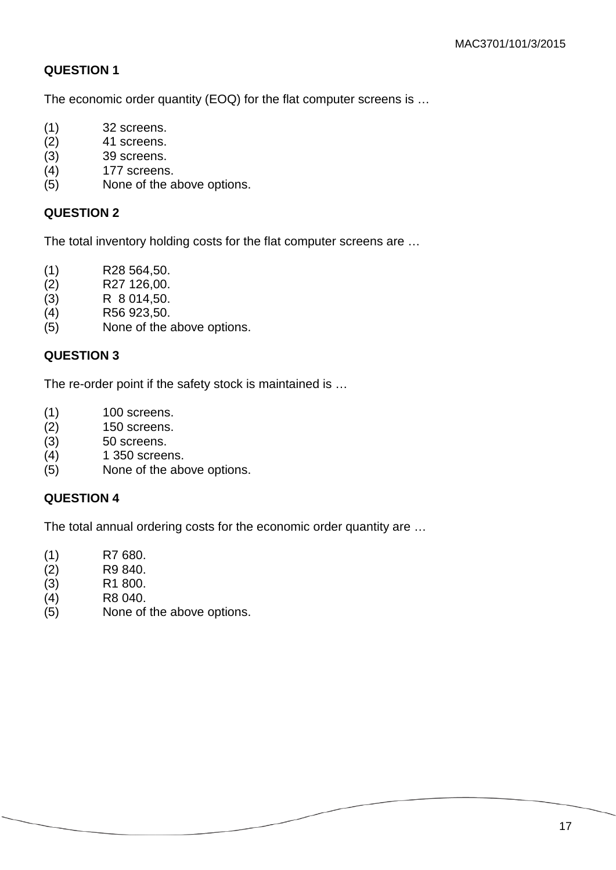The economic order quantity (EOQ) for the flat computer screens is ...

- (1) 32 screens.
- $(2)$  41 screens.<br> $(3)$  39 screens.
- 39 screens.
- (4) 177 screens.
- (5) None of the above options.

## **QUESTION 2**

The total inventory holding costs for the flat computer screens are …

- (1) R28 564,50.
- (2) R27 126,00.
- (3) R 8 014,50.<br>(4) R56 923,50.
- (4) R56 923,50.
- (5) None of the above options.

## **QUESTION 3**

The re-order point if the safety stock is maintained is …

- (1) 100 screens.
- (2) 150 screens.
- (3) 50 screens.
- (4) 1 350 screens.
- (5) None of the above options.

## **QUESTION 4**

The total annual ordering costs for the economic order quantity are …

- (1) R7 680.
- (2) R9 840.
- (3) R1 800.
- (4) R8 040.
- (5) None of the above options.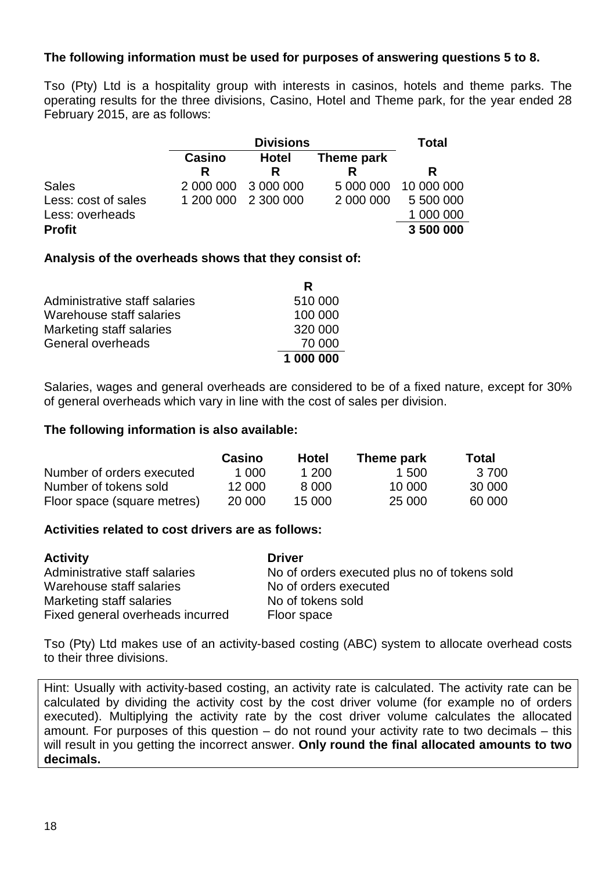## **The following information must be used for purposes of answering questions 5 to 8.**

Tso (Pty) Ltd is a hospitality group with interests in casinos, hotels and theme parks. The operating results for the three divisions, Casino, Hotel and Theme park, for the year ended 28 February 2015, are as follows:

|                     | <b>Divisions</b> |                     | <b>Total</b> |            |
|---------------------|------------------|---------------------|--------------|------------|
|                     | <b>Casino</b>    | <b>Hotel</b>        | Theme park   |            |
|                     | R                | R                   | R            | R          |
| <b>Sales</b>        |                  | 2 000 000 3 000 000 | 5 000 000    | 10 000 000 |
| Less: cost of sales |                  | 1 200 000 2 300 000 | 2 000 000    | 5 500 000  |
| Less: overheads     |                  |                     |              | 1 000 000  |
| <b>Profit</b>       |                  |                     |              | 3 500 000  |

## **Analysis of the overheads shows that they consist of:**

|                               | R         |
|-------------------------------|-----------|
| Administrative staff salaries | 510 000   |
| Warehouse staff salaries      | 100 000   |
| Marketing staff salaries      | 320 000   |
| General overheads             | 70 000    |
|                               | 1 000 000 |

Salaries, wages and general overheads are considered to be of a fixed nature, except for 30% of general overheads which vary in line with the cost of sales per division.

#### **The following information is also available:**

|                             | Casino | <b>Hotel</b> | Theme park | <b>Total</b> |
|-----------------------------|--------|--------------|------------|--------------|
| Number of orders executed   | 1.000  | 1 200        | 1.500      | -3.700       |
| Number of tokens sold       | 12 000 | 8.000        | 10 000     | 30 000       |
| Floor space (square metres) | 20,000 | 15 000       | 25 000     | 60 000       |

## **Activities related to cost drivers are as follows:**

| <b>Activity</b>                  | <b>Driver</b>                                |
|----------------------------------|----------------------------------------------|
| Administrative staff salaries    | No of orders executed plus no of tokens sold |
| Warehouse staff salaries         | No of orders executed                        |
| Marketing staff salaries         | No of tokens sold                            |
| Fixed general overheads incurred | Floor space                                  |

Tso (Pty) Ltd makes use of an activity-based costing (ABC) system to allocate overhead costs to their three divisions.

Hint: Usually with activity-based costing, an activity rate is calculated. The activity rate can be calculated by dividing the activity cost by the cost driver volume (for example no of orders executed). Multiplying the activity rate by the cost driver volume calculates the allocated amount. For purposes of this question – do not round your activity rate to two decimals – this will result in you getting the incorrect answer. **Only round the final allocated amounts to two decimals.**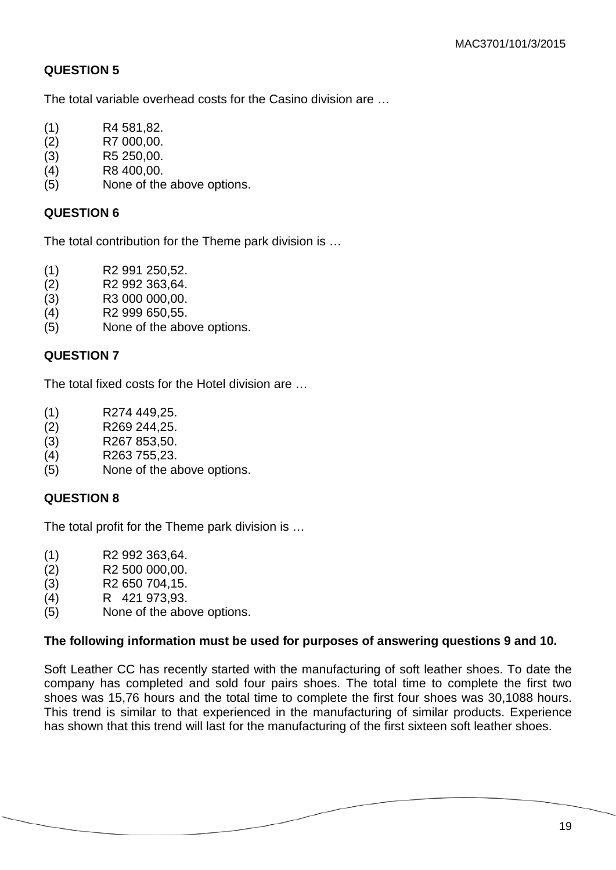The total variable overhead costs for the Casino division are …

- (1) R4 581,82.
- (2) R7 000,00.
- R5 250.00.
- (4) R8 400,00.
- (5) None of the above options.

## **QUESTION 6**

The total contribution for the Theme park division is …

- (1) R2 991 250,52.
- (2) R2 992 363,64.
- (3) R3 000 000,00.
- (4) R2 999 650,55.
- (5) None of the above options.

## **QUESTION 7**

The total fixed costs for the Hotel division are …

- (1) R274 449,25.
- (2) R269 244,25.
- (3) R267 853,50.
- (4) R263 755,23.
- (5) None of the above options.

## **QUESTION 8**

The total profit for the Theme park division is …

- (1) R2 992 363,64.
- (2) R2 500 000,00.
- (3) R2 650 704,15.
- (4) R 421 973,93.
- (5) None of the above options.

## **The following information must be used for purposes of answering questions 9 and 10.**

Soft Leather CC has recently started with the manufacturing of soft leather shoes. To date the company has completed and sold four pairs shoes. The total time to complete the first two shoes was 15,76 hours and the total time to complete the first four shoes was 30,1088 hours. This trend is similar to that experienced in the manufacturing of similar products. Experience has shown that this trend will last for the manufacturing of the first sixteen soft leather shoes.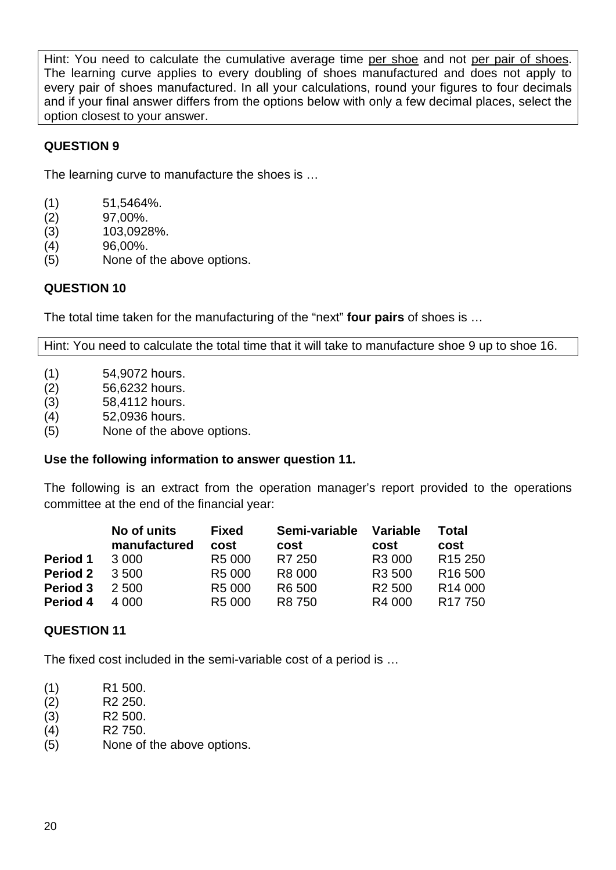Hint: You need to calculate the cumulative average time per shoe and not per pair of shoes. The learning curve applies to every doubling of shoes manufactured and does not apply to every pair of shoes manufactured. In all your calculations, round your figures to four decimals and if your final answer differs from the options below with only a few decimal places, select the option closest to your answer.

## **QUESTION 9**

The learning curve to manufacture the shoes is …

- (1) 51,5464%.
- $(2)$  97,00%.<br>(3) 103,0928
- (3) 103,0928%.
- (4) 96,00%.
- (5) None of the above options.

## **QUESTION 10**

The total time taken for the manufacturing of the "next" **four pairs** of shoes is …

Hint: You need to calculate the total time that it will take to manufacture shoe 9 up to shoe 16.

- (1) 54,9072 hours.
- (2) 56,6232 hours.
- (3) 58,4112 hours.
- (4) 52,0936 hours.
- (5) None of the above options.

## **Use the following information to answer question 11.**

The following is an extract from the operation manager's report provided to the operations committee at the end of the financial year:

|                 | No of units<br>manufactured | <b>Fixed</b><br>cost | Semi-variable<br>cost | <b>Variable</b><br>cost | Total<br>cost       |
|-----------------|-----------------------------|----------------------|-----------------------|-------------------------|---------------------|
| <b>Period 1</b> | 3 0 0 0                     | R <sub>5</sub> 000   | R7 250                | R <sub>3</sub> 000      | R <sub>15</sub> 250 |
| <b>Period 2</b> | 3.500                       | R <sub>5</sub> 000   | R8 000                | R <sub>3</sub> 500      | R <sub>16</sub> 500 |
| Period 3        | 2 500                       | R <sub>5</sub> 000   | R6 500                | R <sub>2</sub> 500      | R <sub>14</sub> 000 |
| Period 4        | 4 000                       | R <sub>5</sub> 000   | R <sub>8</sub> 750    | R4 000                  | R <sub>17</sub> 750 |

## **QUESTION 11**

The fixed cost included in the semi-variable cost of a period is …

- (1) R1 500.
- (2) R2 250.
- (3) R2 500.
- (4) R2 750.
- (5) None of the above options.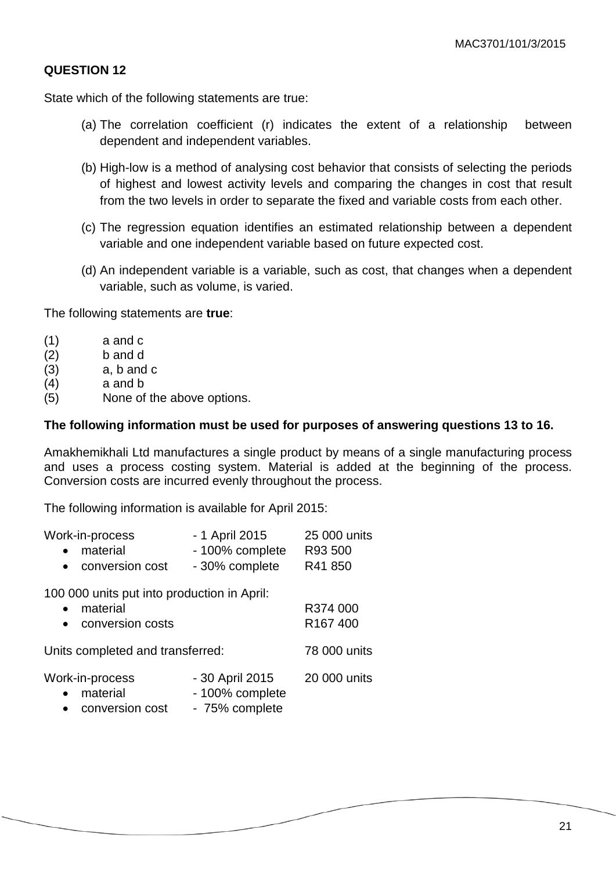State which of the following statements are true:

- (a) The correlation coefficient (r) indicates the extent of a relationship between dependent and independent variables.
- (b) High-low is a method of analysing cost behavior that consists of selecting the periods of highest and lowest activity levels and comparing the changes in cost that result from the two levels in order to separate the fixed and variable costs from each other.
- (c) The regression equation identifies an estimated relationship between a dependent variable and one independent variable based on future expected cost.
- (d) An independent variable is a variable, such as cost, that changes when a dependent variable, such as volume, is varied.

The following statements are **true**:

- (1) a and c
- (2) b and d
- $(3)$  a, b and c
- (4) a and b
- (5) None of the above options.

#### **The following information must be used for purposes of answering questions 13 to 16.**

Amakhemikhali Ltd manufactures a single product by means of a single manufacturing process and uses a process costing system. Material is added at the beginning of the process. Conversion costs are incurred evenly throughout the process.

The following information is available for April 2015:

| Work-in-process   | - 1 April 2015  | 25 000 units |
|-------------------|-----------------|--------------|
| • material        | - 100% complete | R93 500      |
| • conversion cost | - 30% complete  | R41 850      |

100 000 units put into production in April:

| material<br>$\bullet$<br>• conversion costs | R374 000<br>R <sub>167</sub> 400   |              |
|---------------------------------------------|------------------------------------|--------------|
| Units completed and transferred:            |                                    | 78 000 units |
| Work-in-process<br>• material               | - 30 April 2015<br>- 100% complete | 20 000 units |

conversion cost - 75% complete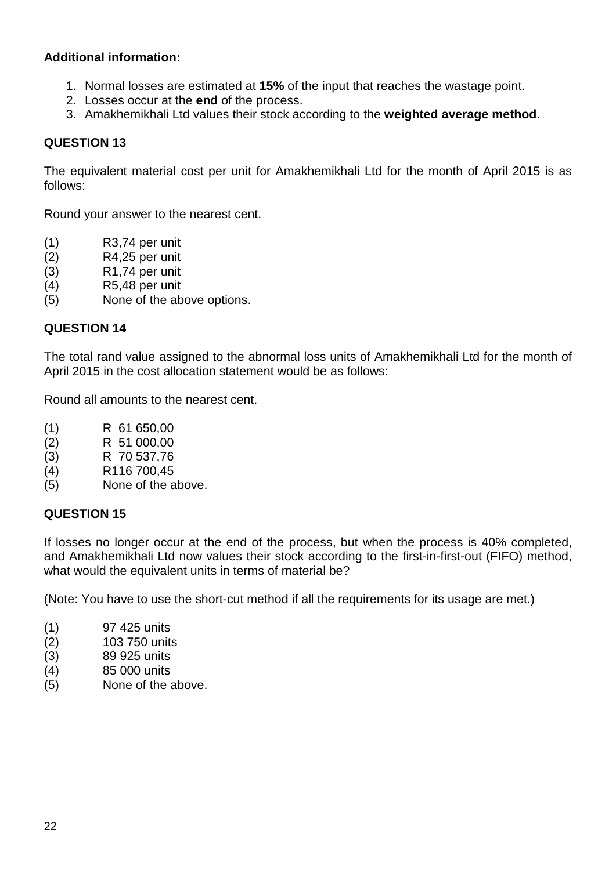## **Additional information:**

- 1. Normal losses are estimated at **15%** of the input that reaches the wastage point.
- 2. Losses occur at the **end** of the process.
- 3. Amakhemikhali Ltd values their stock according to the **weighted average method**.

## **QUESTION 13**

The equivalent material cost per unit for Amakhemikhali Ltd for the month of April 2015 is as follows:

Round your answer to the nearest cent.

- (1) R3,74 per unit
- (2) R4,25 per unit
- (3) R1,74 per unit
- (4) R5,48 per unit
- None of the above options.

## **QUESTION 14**

The total rand value assigned to the abnormal loss units of Amakhemikhali Ltd for the month of April 2015 in the cost allocation statement would be as follows:

Round all amounts to the nearest cent.

- (1) R 61 650,00
- (2) R 51 000,00
- (3) R 70 537,76
- (4) R116 700,45
- (5) None of the above.

## **QUESTION 15**

If losses no longer occur at the end of the process, but when the process is 40% completed, and Amakhemikhali Ltd now values their stock according to the first-in-first-out (FIFO) method, what would the equivalent units in terms of material be?

(Note: You have to use the short-cut method if all the requirements for its usage are met.)

- (1) 97 425 units
- (2) 103 750 units
- (3) 89 925 units
- (4) 85 000 units
- (5) None of the above.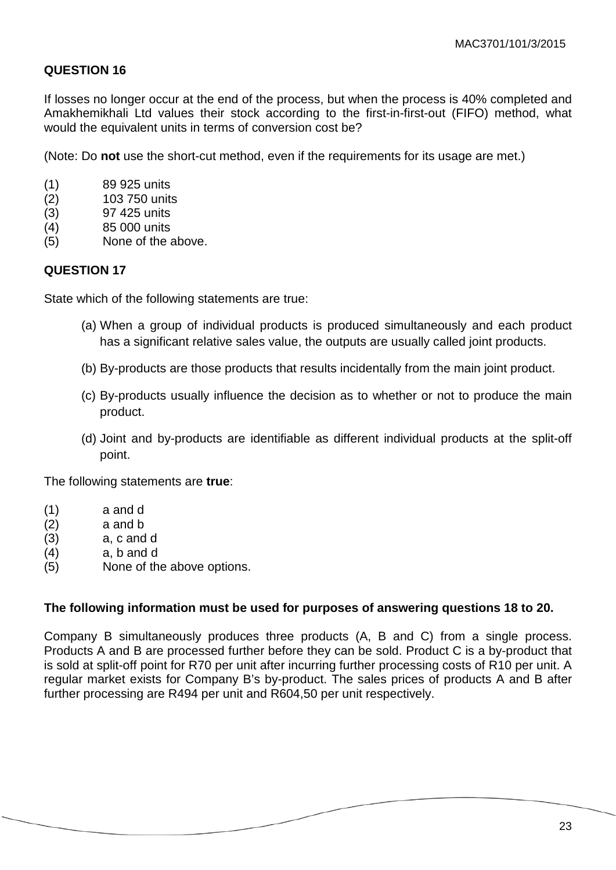If losses no longer occur at the end of the process, but when the process is 40% completed and Amakhemikhali Ltd values their stock according to the first-in-first-out (FIFO) method, what would the equivalent units in terms of conversion cost be?

(Note: Do **not** use the short-cut method, even if the requirements for its usage are met.)

- (1) 89 925 units
- (2) 103 750 units
- (3) 97 425 units
- (4) 85 000 units
- (5) None of the above.

## **QUESTION 17**

State which of the following statements are true:

- (a) When a group of individual products is produced simultaneously and each product has a significant relative sales value, the outputs are usually called joint products.
- (b) By-products are those products that results incidentally from the main joint product.
- (c) By-products usually influence the decision as to whether or not to produce the main product.
- (d) Joint and by-products are identifiable as different individual products at the split-off point.

The following statements are **true**:

- (1) a and d
- $(2)$  a and b<br> $(3)$  a, c and
- (3) a, c and d
- $(4)$  a, b and d
- (5) None of the above options.

## **The following information must be used for purposes of answering questions 18 to 20.**

Company B simultaneously produces three products (A, B and C) from a single process. Products A and B are processed further before they can be sold. Product C is a by-product that is sold at split-off point for R70 per unit after incurring further processing costs of R10 per unit. A regular market exists for Company B's by-product. The sales prices of products A and B after further processing are R494 per unit and R604,50 per unit respectively.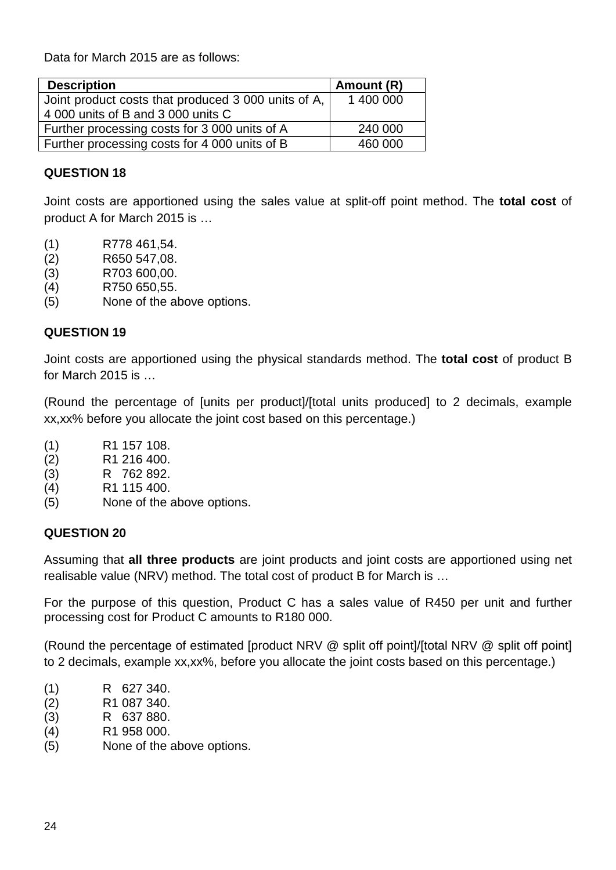Data for March 2015 are as follows:

| <b>Description</b>                                  | Amount (R) |
|-----------------------------------------------------|------------|
| Joint product costs that produced 3 000 units of A, | 1 400 000  |
| 4 000 units of B and 3 000 units C                  |            |
| Further processing costs for 3 000 units of A       | 240 000    |
| Further processing costs for 4 000 units of B       | 460 000    |

## **QUESTION 18**

Joint costs are apportioned using the sales value at split-off point method. The **total cost** of product A for March 2015 is …

- (1) R778 461,54.
- (2) R650 547,08.
- (3) R703 600,00.
- (4) R750 650,55.
- (5) None of the above options.

## **QUESTION 19**

Joint costs are apportioned using the physical standards method. The **total cost** of product B for March 2015 is …

(Round the percentage of [units per product]/[total units produced] to 2 decimals, example xx,xx% before you allocate the joint cost based on this percentage.)

- (1) R1 157 108.
- (2) R1 216 400.
- (3) R 762 892.
- (4) R1 115 400.
- (5) None of the above options.

## **QUESTION 20**

Assuming that **all three products** are joint products and joint costs are apportioned using net realisable value (NRV) method. The total cost of product B for March is …

For the purpose of this question, Product C has a sales value of R450 per unit and further processing cost for Product C amounts to R180 000.

(Round the percentage of estimated [product NRV @ split off point]/[total NRV @ split off point] to 2 decimals, example xx,xx%, before you allocate the joint costs based on this percentage.)

- (1) R 627 340.
- (2) R1 087 340.
- (3) R 637 880.
- (4) R1 958 000.
- (5) None of the above options.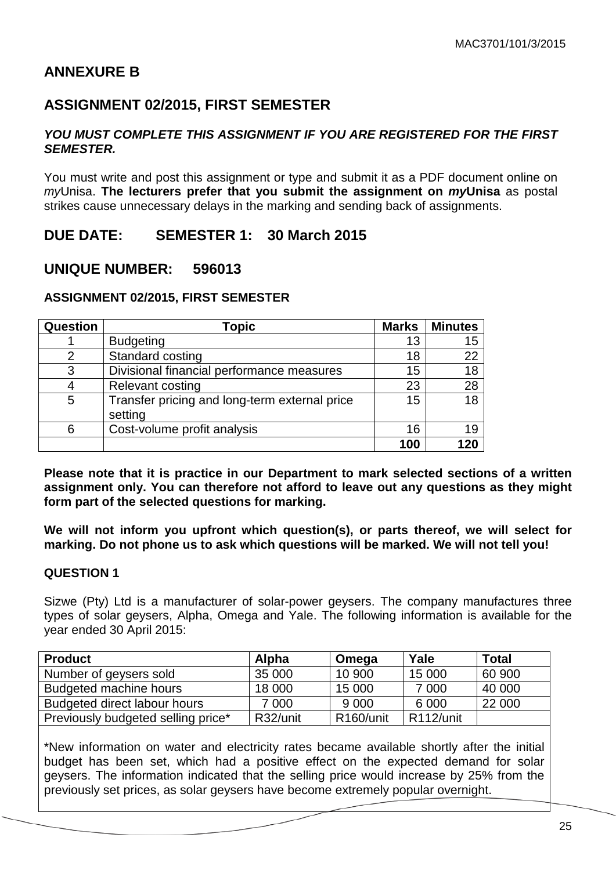## **ANNEXURE B**

## **ASSIGNMENT 02/2015, FIRST SEMESTER**

## *YOU MUST COMPLETE THIS ASSIGNMENT IF YOU ARE REGISTERED FOR THE FIRST SEMESTER.*

You must write and post this assignment or type and submit it as a PDF document online on *my*Unisa. **The lecturers prefer that you submit the assignment on** *my***Unisa** as postal strikes cause unnecessary delays in the marking and sending back of assignments.

## **DUE DATE: SEMESTER 1: 30 March 2015**

## **UNIQUE NUMBER: 596013**

## **ASSIGNMENT 02/2015, FIRST SEMESTER**

| Question | Topic                                                    | <b>Marks</b> | <b>Minutes</b> |
|----------|----------------------------------------------------------|--------------|----------------|
|          | <b>Budgeting</b>                                         | 13           | 15             |
| 2        | Standard costing                                         | 18           | 22             |
| 3        | Divisional financial performance measures                | 15           | 18             |
|          | <b>Relevant costing</b>                                  | 23           | 28             |
| 5        | Transfer pricing and long-term external price<br>setting | 15           | 18             |
| 6        | Cost-volume profit analysis                              | 16           | 19             |
|          |                                                          | 100          | ・つい            |

**Please note that it is practice in our Department to mark selected sections of a written assignment only. You can therefore not afford to leave out any questions as they might form part of the selected questions for marking.**

**We will not inform you upfront which question(s), or parts thereof, we will select for marking. Do not phone us to ask which questions will be marked. We will not tell you!**

## **QUESTION 1**

Sizwe (Pty) Ltd is a manufacturer of solar-power geysers. The company manufactures three types of solar geysers, Alpha, Omega and Yale. The following information is available for the year ended 30 April 2015:

| <b>Product</b>                     | Alpha    | Omega                  | Yale      | <b>Total</b> |
|------------------------------------|----------|------------------------|-----------|--------------|
| Number of geysers sold             | 35 000   | 10 900                 | 15 000    | 60 900       |
| Budgeted machine hours             | 18 000   | 15 000                 | 7 0 0 0   | 40 000       |
| Budgeted direct labour hours       | 7 000    | 9 0 0 0                | 6 0 0 0   | 22 000       |
| Previously budgeted selling price* | R32/unit | R <sub>160</sub> /unit | R112/unit |              |

\*New information on water and electricity rates became available shortly after the initial budget has been set, which had a positive effect on the expected demand for solar geysers. The information indicated that the selling price would increase by 25% from the previously set prices, as solar geysers have become extremely popular overnight.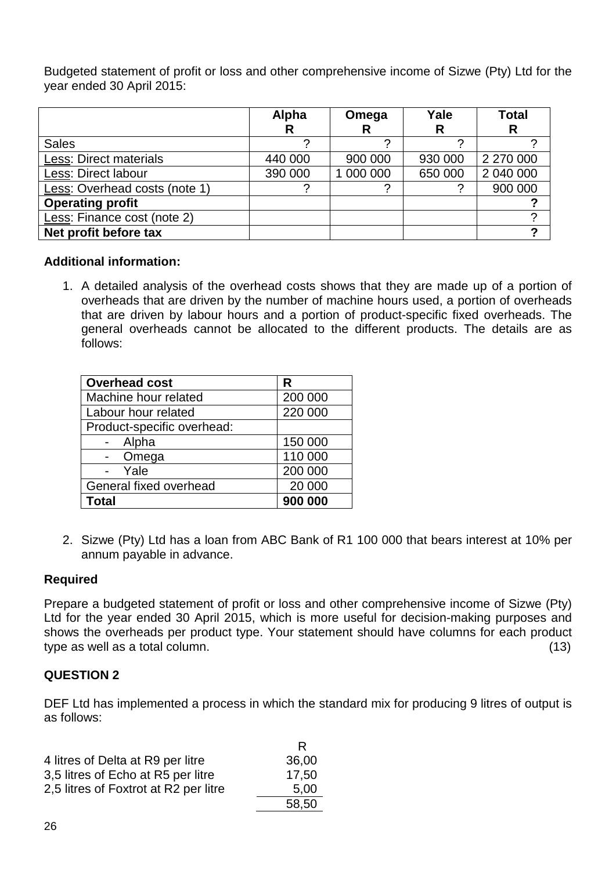Budgeted statement of profit or loss and other comprehensive income of Sizwe (Pty) Ltd for the year ended 30 April 2015:

|                               | Alpha<br>R | Omega<br>R | Yale<br>R | <b>Total</b> |
|-------------------------------|------------|------------|-----------|--------------|
| <b>Sales</b>                  |            |            |           |              |
| Less: Direct materials        | 440 000    | 900 000    | 930 000   | 2 270 000    |
| Less: Direct labour           | 390 000    | 1 000 000  | 650 000   | 2 040 000    |
| Less: Overhead costs (note 1) |            |            |           | 900 000      |
| <b>Operating profit</b>       |            |            |           |              |
| Less: Finance cost (note 2)   |            |            |           |              |
| Net profit before tax         |            |            |           | ◠            |

## **Additional information:**

1. A detailed analysis of the overhead costs shows that they are made up of a portion of overheads that are driven by the number of machine hours used, a portion of overheads that are driven by labour hours and a portion of product-specific fixed overheads. The general overheads cannot be allocated to the different products. The details are as follows:

| <b>Overhead cost</b>       | R       |
|----------------------------|---------|
| Machine hour related       | 200 000 |
| Labour hour related        | 220 000 |
| Product-specific overhead: |         |
| - Alpha                    | 150 000 |
| - Omega                    | 110 000 |
| - Yale                     | 200 000 |
| General fixed overhead     | 20 000  |
| Total                      | 900 000 |

2. Sizwe (Pty) Ltd has a loan from ABC Bank of R1 100 000 that bears interest at 10% per annum payable in advance.

## **Required**

Prepare a budgeted statement of profit or loss and other comprehensive income of Sizwe (Pty) Ltd for the year ended 30 April 2015, which is more useful for decision-making purposes and shows the overheads per product type. Your statement should have columns for each product type as well as a total column. (13)

## **QUESTION 2**

DEF Ltd has implemented a process in which the standard mix for producing 9 litres of output is as follows:

|                                       | R     |
|---------------------------------------|-------|
| 4 litres of Delta at R9 per litre     | 36,00 |
| 3,5 litres of Echo at R5 per litre    | 17,50 |
| 2,5 litres of Foxtrot at R2 per litre | 5,00  |
|                                       | 58,50 |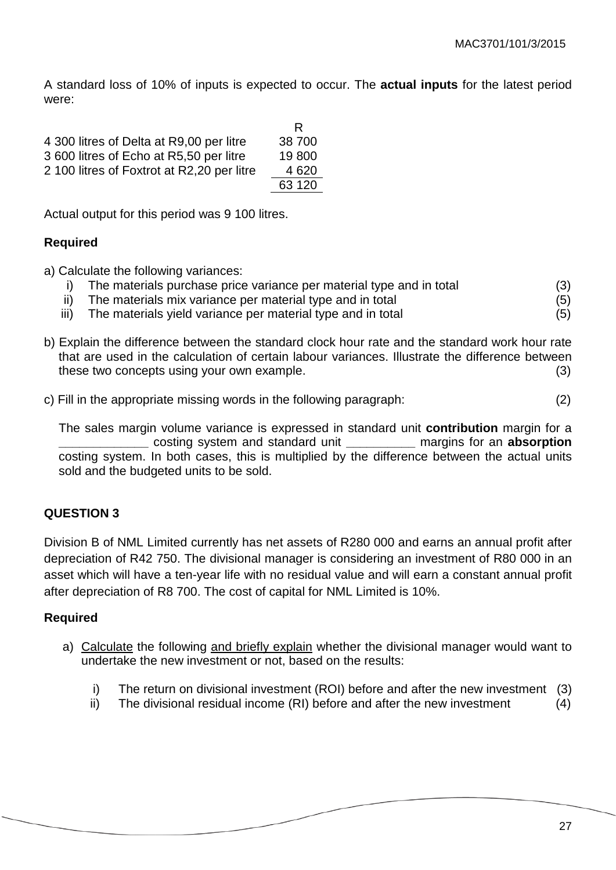A standard loss of 10% of inputs is expected to occur. The **actual inputs** for the latest period were:

|                                            | R      |
|--------------------------------------------|--------|
| 4 300 litres of Delta at R9,00 per litre   | 38 700 |
| 3 600 litres of Echo at R5,50 per litre    | 19 800 |
| 2 100 litres of Foxtrot at R2,20 per litre | 4 6 20 |
|                                            | 63 120 |

Actual output for this period was 9 100 litres.

## **Required**

a) Calculate the following variances:

- i) The materials purchase price variance per material type and in total (3)
- ii) The materials mix variance per material type and in total (5)
- iii) The materials yield variance per material type and in total (5)
- b) Explain the difference between the standard clock hour rate and the standard work hour rate that are used in the calculation of certain labour variances. Illustrate the difference between these two concepts using your own example. (3)
- c) Fill in the appropriate missing words in the following paragraph: (2)

The sales margin volume variance is expressed in standard unit **contribution** margin for a **\_\_\_\_\_\_\_\_\_\_\_\_\_** costing system and standard unit **\_\_\_\_\_\_\_\_\_\_** margins for an **absorption**  costing system. In both cases, this is multiplied by the difference between the actual units sold and the budgeted units to be sold.

## **QUESTION 3**

Division B of NML Limited currently has net assets of R280 000 and earns an annual profit after depreciation of R42 750. The divisional manager is considering an investment of R80 000 in an asset which will have a ten-year life with no residual value and will earn a constant annual profit after depreciation of R8 700. The cost of capital for NML Limited is 10%.

## **Required**

- a) Calculate the following and briefly explain whether the divisional manager would want to undertake the new investment or not, based on the results:
	- i) The return on divisional investment (ROI) before and after the new investment (3)
	- ii) The divisional residual income  $(RI)$  before and after the new investment  $(4)$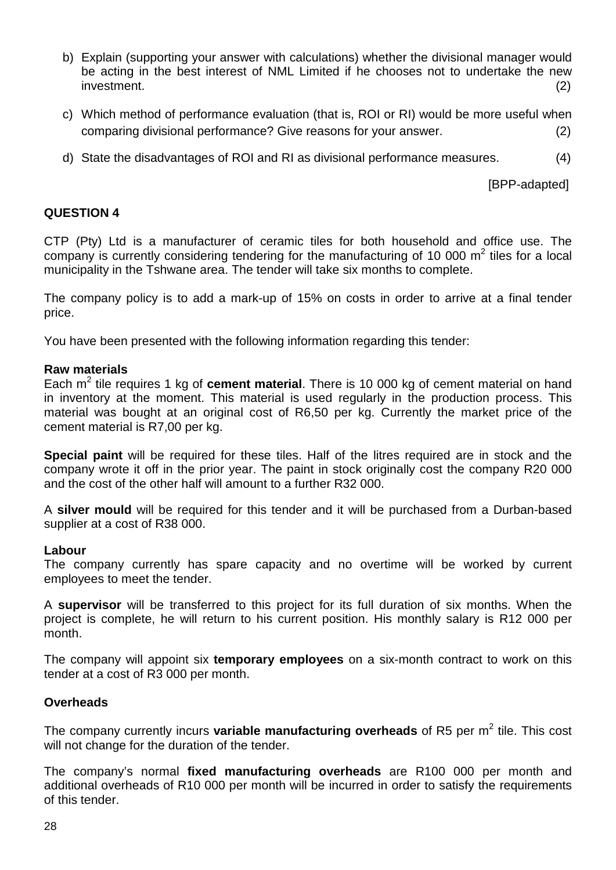- b) Explain (supporting your answer with calculations) whether the divisional manager would be acting in the best interest of NML Limited if he chooses not to undertake the new<br>investment. (2) investment. (2)
- c) Which method of performance evaluation (that is, ROI or RI) would be more useful when comparing divisional performance? Give reasons for your answer. (2)
- d) State the disadvantages of ROI and RI as divisional performance measures. (4)

[BPP-adapted]

## **QUESTION 4**

CTP (Pty) Ltd is a manufacturer of ceramic tiles for both household and office use. The company is currently considering tendering for the manufacturing of 10 000  $m<sup>2</sup>$  tiles for a local municipality in the Tshwane area. The tender will take six months to complete.

The company policy is to add a mark-up of 15% on costs in order to arrive at a final tender price.

You have been presented with the following information regarding this tender:

#### **Raw materials**

Each m<sup>2</sup> tile requires 1 kg of **cement material**. There is 10 000 kg of cement material on hand in inventory at the moment. This material is used regularly in the production process. This material was bought at an original cost of R6,50 per kg. Currently the market price of the cement material is R7,00 per kg.

**Special paint** will be required for these tiles. Half of the litres required are in stock and the company wrote it off in the prior year. The paint in stock originally cost the company R20 000 and the cost of the other half will amount to a further R32 000.

A **silver mould** will be required for this tender and it will be purchased from a Durban-based supplier at a cost of R38 000.

#### **Labour**

The company currently has spare capacity and no overtime will be worked by current employees to meet the tender.

A **supervisor** will be transferred to this project for its full duration of six months. When the project is complete, he will return to his current position. His monthly salary is R12 000 per month.

The company will appoint six **temporary employees** on a six-month contract to work on this tender at a cost of R3 000 per month.

## **Overheads**

The company currently incurs **variable manufacturing overheads** of R5 per m<sup>2</sup> tile. This cost will not change for the duration of the tender.

The company's normal **fixed manufacturing overheads** are R100 000 per month and additional overheads of R10 000 per month will be incurred in order to satisfy the requirements of this tender.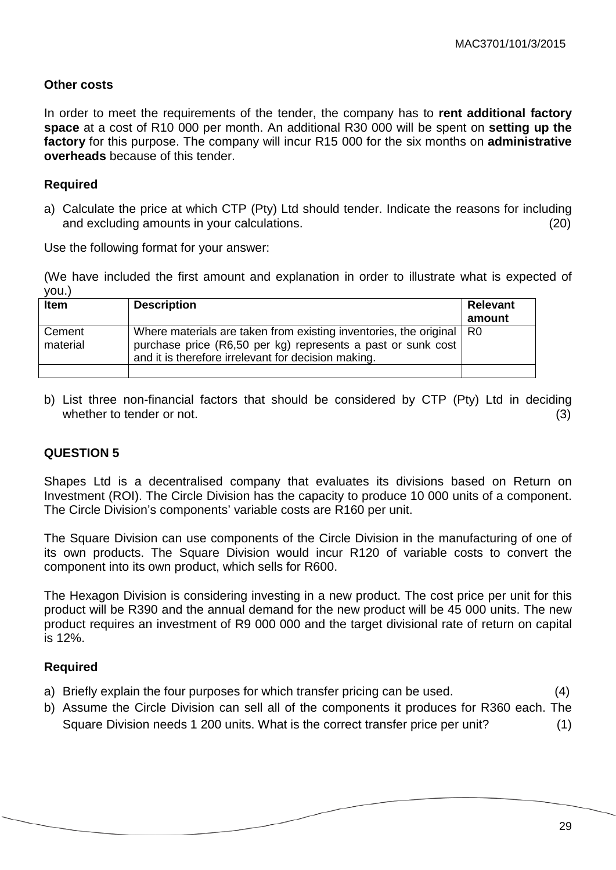## **Other costs**

In order to meet the requirements of the tender, the company has to **rent additional factory space** at a cost of R10 000 per month. An additional R30 000 will be spent on **setting up the factory** for this purpose. The company will incur R15 000 for the six months on **administrative overheads** because of this tender.

## **Required**

a) Calculate the price at which CTP (Pty) Ltd should tender. Indicate the reasons for including and excluding amounts in your calculations. (20)

Use the following format for your answer:

(We have included the first amount and explanation in order to illustrate what is expected of you.)

| <b>Item</b>        | <b>Description</b>                                                                                                                                                                            | <b>Relevant</b> |
|--------------------|-----------------------------------------------------------------------------------------------------------------------------------------------------------------------------------------------|-----------------|
|                    |                                                                                                                                                                                               | amount          |
| Cement<br>material | Where materials are taken from existing inventories, the original   R0<br>purchase price (R6,50 per kg) represents a past or sunk cost<br>and it is therefore irrelevant for decision making. |                 |
|                    |                                                                                                                                                                                               |                 |

b) List three non-financial factors that should be considered by CTP (Pty) Ltd in deciding whether to tender or not. (3)

## **QUESTION 5**

Shapes Ltd is a decentralised company that evaluates its divisions based on Return on Investment (ROI). The Circle Division has the capacity to produce 10 000 units of a component. The Circle Division's components' variable costs are R160 per unit.

The Square Division can use components of the Circle Division in the manufacturing of one of its own products. The Square Division would incur R120 of variable costs to convert the component into its own product, which sells for R600.

The Hexagon Division is considering investing in a new product. The cost price per unit for this product will be R390 and the annual demand for the new product will be 45 000 units. The new product requires an investment of R9 000 000 and the target divisional rate of return on capital is 12%.

## **Required**

- a) Briefly explain the four purposes for which transfer pricing can be used. (4)
- b) Assume the Circle Division can sell all of the components it produces for R360 each. The Square Division needs 1 200 units. What is the correct transfer price per unit? (1)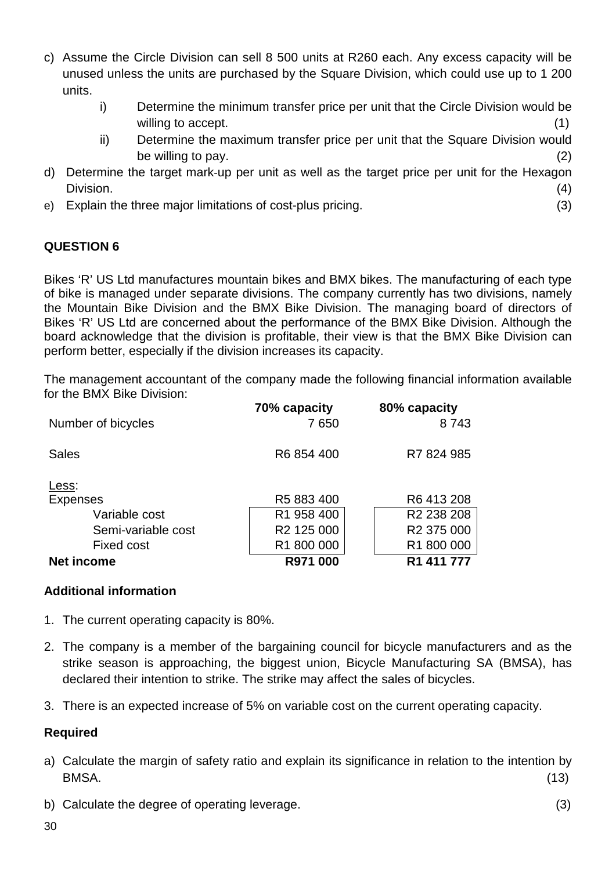- c) Assume the Circle Division can sell 8 500 units at R260 each. Any excess capacity will be unused unless the units are purchased by the Square Division, which could use up to 1 200 units.
	- i) Determine the minimum transfer price per unit that the Circle Division would be willing to accept. (1) (1)  $(1)$
	- ii) Determine the maximum transfer price per unit that the Square Division would be willing to pay.  $(2)$
- d) Determine the target mark-up per unit as well as the target price per unit for the Hexagon Division. (4)
- e) Explain the three major limitations of cost-plus pricing. (3)

Bikes 'R' US Ltd manufactures mountain bikes and BMX bikes. The manufacturing of each type of bike is managed under separate divisions. The company currently has two divisions, namely the Mountain Bike Division and the BMX Bike Division. The managing board of directors of Bikes 'R' US Ltd are concerned about the performance of the BMX Bike Division. Although the board acknowledge that the division is profitable, their view is that the BMX Bike Division can perform better, especially if the division increases its capacity.

The management accountant of the company made the following financial information available for the BMX Bike Division:

| Number of bicycles       | 70% capacity<br>7650   | 80% capacity<br>8743   |
|--------------------------|------------------------|------------------------|
| <b>Sales</b>             | R6 854 400             | R7 824 985             |
| Less:<br><b>Expenses</b> | R5 883 400             | R6413208               |
| Variable cost            | R1 958 400             | R <sub>2</sub> 238 208 |
| Semi-variable cost       | R <sub>2</sub> 125 000 | R <sub>2</sub> 375 000 |
| <b>Fixed cost</b>        | R1 800 000             | R1 800 000             |
| <b>Net income</b>        | R971 000               | R1 411 777             |

## **Additional information**

- 1. The current operating capacity is 80%.
- 2. The company is a member of the bargaining council for bicycle manufacturers and as the strike season is approaching, the biggest union, Bicycle Manufacturing SA (BMSA), has declared their intention to strike. The strike may affect the sales of bicycles.
- 3. There is an expected increase of 5% on variable cost on the current operating capacity.

## **Required**

- a) Calculate the margin of safety ratio and explain its significance in relation to the intention by BMSA. (13)
- b) Calculate the degree of operating leverage. (3)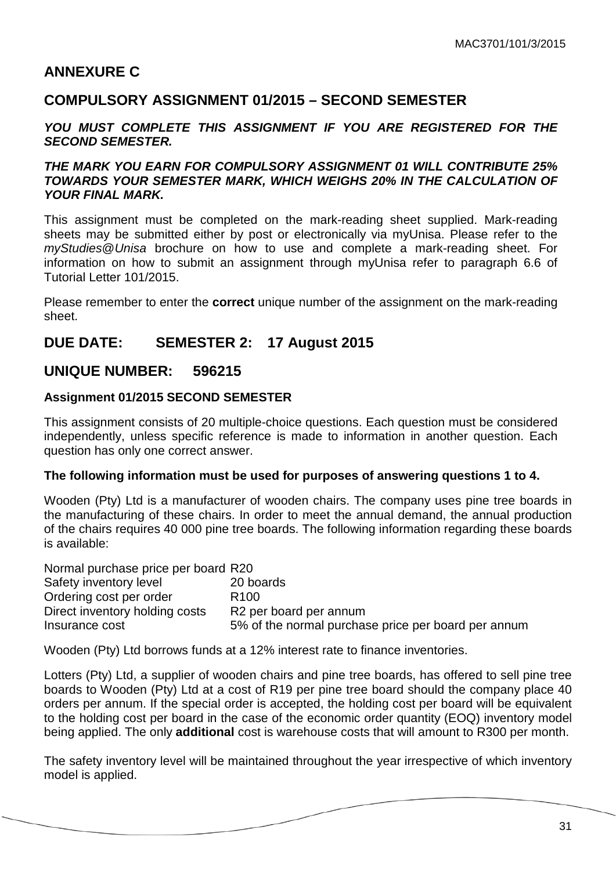## **ANNEXURE C**

## **COMPULSORY ASSIGNMENT 01/2015 – SECOND SEMESTER**

## *YOU MUST COMPLETE THIS ASSIGNMENT IF YOU ARE REGISTERED FOR THE SECOND SEMESTER.*

## *THE MARK YOU EARN FOR COMPULSORY ASSIGNMENT 01 WILL CONTRIBUTE 25% TOWARDS YOUR SEMESTER MARK, WHICH WEIGHS 20% IN THE CALCULATION OF YOUR FINAL MARK.*

This assignment must be completed on the mark-reading sheet supplied. Mark-reading sheets may be submitted either by post or electronically via myUnisa. Please refer to the *myStudies*@*Unisa* brochure on how to use and complete a mark-reading sheet. For information on how to submit an assignment through myUnisa refer to paragraph 6.6 of Tutorial Letter 101/2015.

Please remember to enter the **correct** unique number of the assignment on the mark-reading sheet.

## **DUE DATE: SEMESTER 2: 17 August 2015**

## **UNIQUE NUMBER: 596215**

## **Assignment 01/2015 SECOND SEMESTER**

This assignment consists of 20 multiple-choice questions. Each question must be considered independently, unless specific reference is made to information in another question. Each question has only one correct answer.

## **The following information must be used for purposes of answering questions 1 to 4.**

Wooden (Pty) Ltd is a manufacturer of wooden chairs. The company uses pine tree boards in the manufacturing of these chairs. In order to meet the annual demand, the annual production of the chairs requires 40 000 pine tree boards. The following information regarding these boards is available:

| Normal purchase price per board R20 |                                                     |
|-------------------------------------|-----------------------------------------------------|
| Safety inventory level              | 20 boards                                           |
| Ordering cost per order             | R <sub>100</sub>                                    |
| Direct inventory holding costs      | R <sub>2</sub> per board per annum                  |
| Insurance cost                      | 5% of the normal purchase price per board per annum |

Wooden (Pty) Ltd borrows funds at a 12% interest rate to finance inventories.

Lotters (Pty) Ltd, a supplier of wooden chairs and pine tree boards, has offered to sell pine tree boards to Wooden (Pty) Ltd at a cost of R19 per pine tree board should the company place 40 orders per annum. If the special order is accepted, the holding cost per board will be equivalent to the holding cost per board in the case of the economic order quantity (EOQ) inventory model being applied. The only **additional** cost is warehouse costs that will amount to R300 per month.

The safety inventory level will be maintained throughout the year irrespective of which inventory model is applied.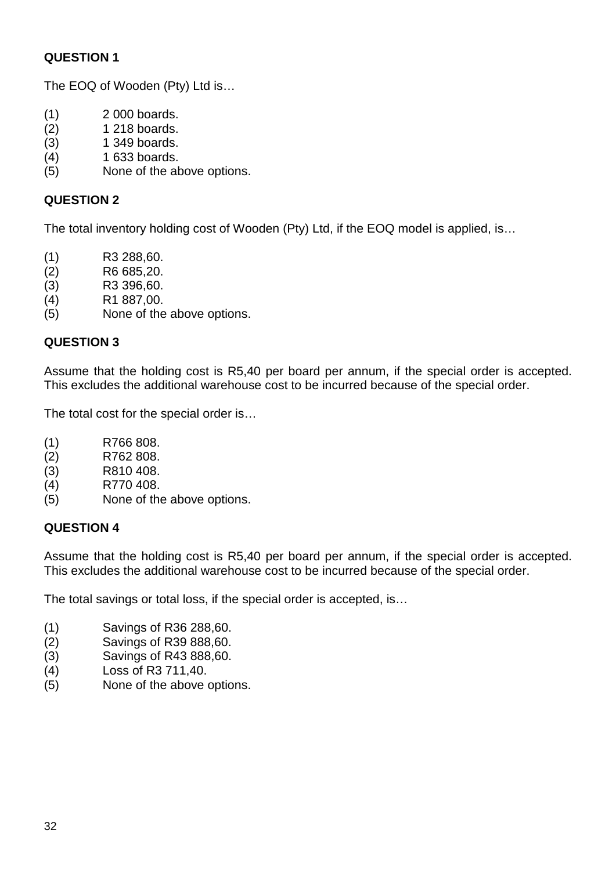The EOQ of Wooden (Pty) Ltd is…

- (1) 2 000 boards.
- (2) 1 218 boards.
- (3) 1 349 boards.
- (4) 1 633 boards.
- (5) None of the above options.

## **QUESTION 2**

The total inventory holding cost of Wooden (Pty) Ltd, if the EOQ model is applied, is...

- (1) R3 288,60.
- (2) R6 685,20.
- (3) R3 396,60.<br>(4) R1 887.00.
- R1 887,00.
- (5) None of the above options.

## **QUESTION 3**

Assume that the holding cost is R5,40 per board per annum, if the special order is accepted. This excludes the additional warehouse cost to be incurred because of the special order.

The total cost for the special order is…

- (1) R766 808.
- (2) R762 808.
- (3) R810 408.
- (4) R770 408.
- (5) None of the above options.

## **QUESTION 4**

Assume that the holding cost is R5,40 per board per annum, if the special order is accepted. This excludes the additional warehouse cost to be incurred because of the special order.

The total savings or total loss, if the special order is accepted, is…

- (1) Savings of R36 288,60.
- (2) Savings of R39 888,60.
- (3) Savings of R43 888,60.
- (4) Loss of R3 711,40.
- (5) None of the above options.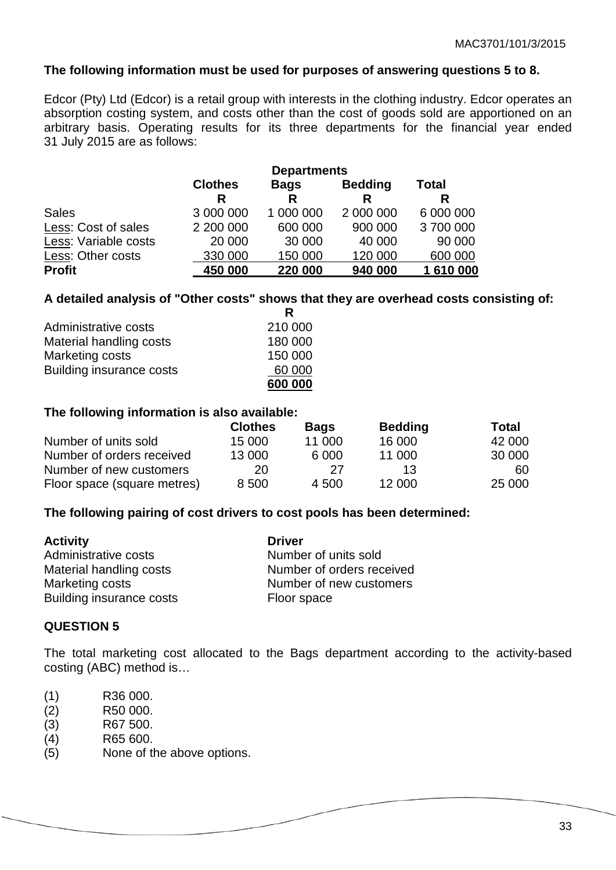#### **The following information must be used for purposes of answering questions 5 to 8.**

Edcor (Pty) Ltd (Edcor) is a retail group with interests in the clothing industry. Edcor operates an absorption costing system, and costs other than the cost of goods sold are apportioned on an arbitrary basis. Operating results for its three departments for the financial year ended 31 July 2015 are as follows:

| <b>Bedding</b><br><b>Total</b> |
|--------------------------------|
|                                |
| R<br>R                         |
| 6 000 000<br>2 000 000         |
| 3700000<br>900 000             |
| 90 000<br>40 000               |
| 120 000<br>600 000             |
| 1 610 000<br>940 000           |
|                                |

## **A detailed analysis of "Other costs" shows that they are overhead costs consisting of:**

| 210 000 |
|---------|
| 180 000 |
| 150 000 |
| 60 000  |
| 600 000 |
|         |

#### **The following information is also available:**

|                             | <b>Clothes</b> | <b>Bags</b> | <b>Bedding</b> | <b>Total</b> |
|-----------------------------|----------------|-------------|----------------|--------------|
| Number of units sold        | 15 000         | 11 000      | 16 000         | 42 000       |
| Number of orders received   | 13 000         | 6 000       | 11 000         | 30 000       |
| Number of new customers     | 20             | 27          | 13             | 60           |
| Floor space (square metres) | 8 500          | 4 500       | 12 000         | 25 000       |

#### **The following pairing of cost drivers to cost pools has been determined:**

| <b>Activity</b>          | <b>Driver</b>             |
|--------------------------|---------------------------|
| Administrative costs     | Number of units sold      |
| Material handling costs  | Number of orders received |
| Marketing costs          | Number of new customers   |
| Building insurance costs | Floor space               |

#### **QUESTION 5**

The total marketing cost allocated to the Bags department according to the activity-based costing (ABC) method is…

- (1) R36 000.
- (2) R50 000.<br>(3) R67 500.
- (3) R67 500.
- (4) R65 600.
- (5) None of the above options.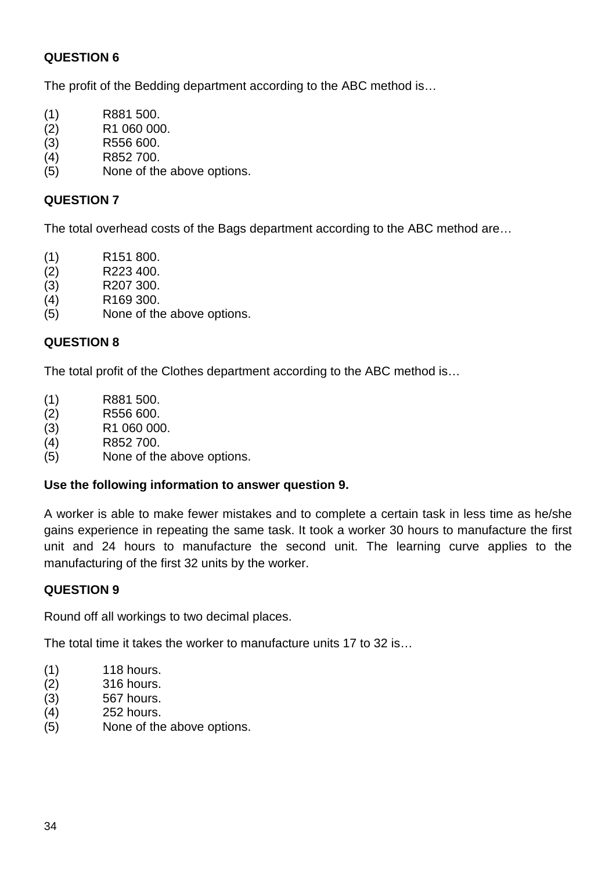The profit of the Bedding department according to the ABC method is…

- (1) R881 500.
- (2) R1 060 000.
- (3) R556 600.
- (4) R852 700.
- (5) None of the above options.

## **QUESTION 7**

The total overhead costs of the Bags department according to the ABC method are…

- (1) R151 800.
- (2) R223 400.
- (3) R207 300.<br>(4) R169 300.
- R169 300.
- (5) None of the above options.

## **QUESTION 8**

The total profit of the Clothes department according to the ABC method is…

- (1) R881 500.
- (2) R556 600.
- (3) R1 060 000.
- (4) R852 700.
- (5) None of the above options.

## **Use the following information to answer question 9.**

A worker is able to make fewer mistakes and to complete a certain task in less time as he/she gains experience in repeating the same task. It took a worker 30 hours to manufacture the first unit and 24 hours to manufacture the second unit. The learning curve applies to the manufacturing of the first 32 units by the worker.

## **QUESTION 9**

Round off all workings to two decimal places.

The total time it takes the worker to manufacture units 17 to 32 is…

- (1) 118 hours.
- (2) 316 hours.
- (3) 567 hours.
- (4) 252 hours.
- (5) None of the above options.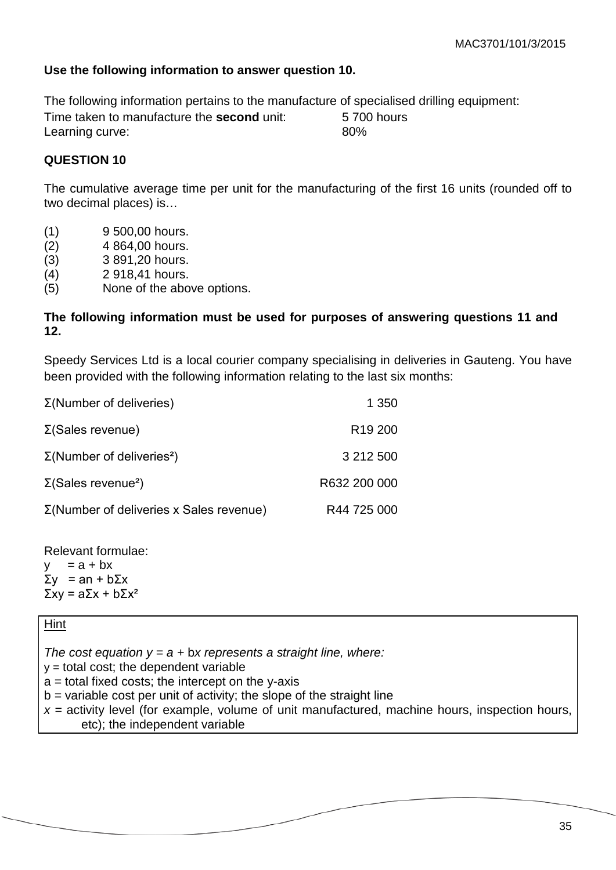## **Use the following information to answer question 10.**

The following information pertains to the manufacture of specialised drilling equipment: Time taken to manufacture the **second** unit: 5 700 hours Learning curve: 80%

## **QUESTION 10**

The cumulative average time per unit for the manufacturing of the first 16 units (rounded off to two decimal places) is…

- (1) 9 500,00 hours.
- (2) 4 864,00 hours.
- (3) 3 891,20 hours.
- (4) 2 918,41 hours.
- (5) None of the above options.

## **The following information must be used for purposes of answering questions 11 and 12.**

Speedy Services Ltd is a local courier company specialising in deliveries in Gauteng. You have been provided with the following information relating to the last six months:

| $\Sigma$ (Number of deliveries)                 | 1 350               |
|-------------------------------------------------|---------------------|
| $\Sigma$ (Sales revenue)                        | R <sub>19</sub> 200 |
| $\Sigma$ (Number of deliveries <sup>2</sup> )   | 3 212 500           |
| $\Sigma$ (Sales revenue <sup>2</sup> )          | R632 200 000        |
| $\Sigma$ (Number of deliveries x Sales revenue) | R44 725 000         |

Relevant formulae:  $y = a + bx$ Σy = an + bΣx

Σxy = aΣx + bΣx²

## Hint

*The cost equation y = a +* b*x represents a straight line, where:*  $y =$  total cost; the dependent variable  $a =$  total fixed costs; the intercept on the y-axis  $b =$  variable cost per unit of activity; the slope of the straight line *x* = activity level (for example, volume of unit manufactured, machine hours, inspection hours, etc); the independent variable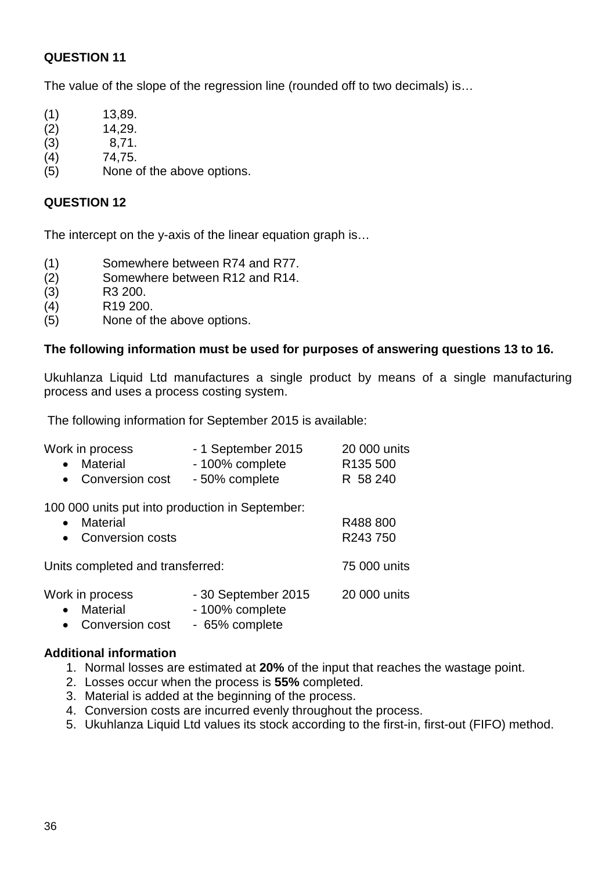The value of the slope of the regression line (rounded off to two decimals) is…

- $(1)$  13,89.
- $(2)$  14,29.
- $(3)$  8,71.
- (4) 74,75.
- (5) None of the above options.

## **QUESTION 12**

The intercept on the y-axis of the linear equation graph is…

- 
- (1) Somewhere between R74 and R77.<br>(2) Somewhere between R12 and R14. Somewhere between R12 and R14.
- (3) R3 200.
- (4) R19 200.
- (5) None of the above options.

## **The following information must be used for purposes of answering questions 13 to 16.**

Ukuhlanza Liquid Ltd manufactures a single product by means of a single manufacturing process and uses a process costing system.

The following information for September 2015 is available:

| Work in process<br><b>Material</b><br>• Conversion cost | - 1 September 2015<br>- 100% complete<br>- 50% complete | 20 000 units<br>R135 500<br>R 58 240 |
|---------------------------------------------------------|---------------------------------------------------------|--------------------------------------|
| <b>Material</b><br>• Conversion costs                   | 100 000 units put into production in September:         | R488 800<br>R243750                  |
| Units completed and transferred:                        |                                                         | 75 000 units                         |
| Work in process                                         | - 30 September 2015                                     | 20 000 units                         |

- Material 100% complete
- Conversion cost 65% complete

## **Additional information**

- 1. Normal losses are estimated at **20%** of the input that reaches the wastage point.
- 2. Losses occur when the process is **55%** completed.
- 3. Material is added at the beginning of the process.
- 4. Conversion costs are incurred evenly throughout the process.
- 5. Ukuhlanza Liquid Ltd values its stock according to the first-in, first-out (FIFO) method.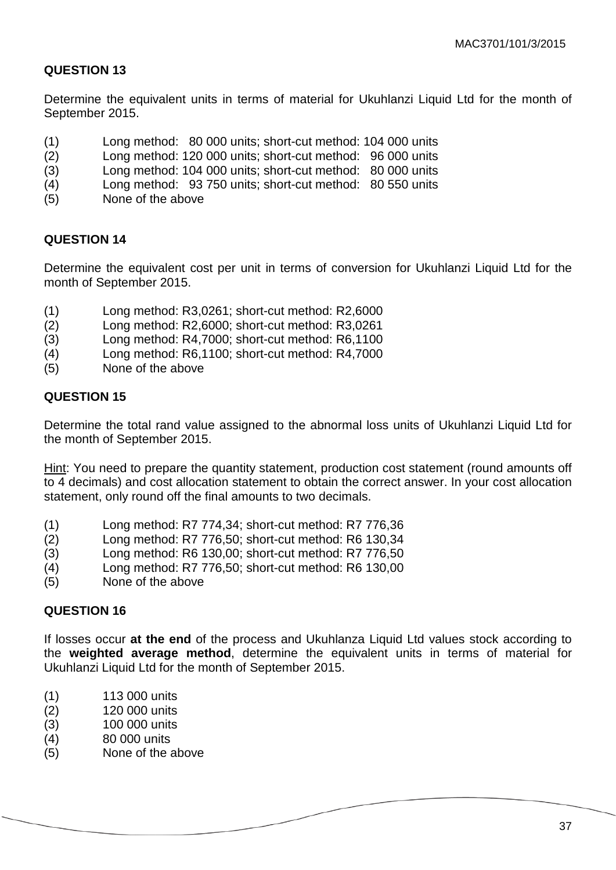Determine the equivalent units in terms of material for Ukuhlanzi Liquid Ltd for the month of September 2015.

- (1) Long method: 80 000 units; short-cut method: 104 000 units
- (2) Long method: 120 000 units; short-cut method: 96 000 units
- (3) Long method: 104 000 units; short-cut method: 80 000 units
- (4) Long method: 93 750 units; short-cut method: 80 550 units
- (5) None of the above

## **QUESTION 14**

Determine the equivalent cost per unit in terms of conversion for Ukuhlanzi Liquid Ltd for the month of September 2015.

- 
- (1) Long method: R3,0261; short-cut method: R2,6000 (2) Long method: R2,6000; short-cut method: R3,0261
- (3) Long method: R4,7000; short-cut method: R6,1100
- (4) Long method: R6,1100; short-cut method: R4,7000
- (5) None of the above

## **QUESTION 15**

Determine the total rand value assigned to the abnormal loss units of Ukuhlanzi Liquid Ltd for the month of September 2015.

Hint: You need to prepare the quantity statement, production cost statement (round amounts off to 4 decimals) and cost allocation statement to obtain the correct answer. In your cost allocation statement, only round off the final amounts to two decimals.

- (1) Long method: R7 774,34; short-cut method: R7 776,36
- (2) Long method: R7 776,50; short-cut method: R6 130,34
- (3) Long method: R6 130,00; short-cut method: R7 776,50
- (4) Long method: R7 776,50; short-cut method: R6 130,00
- (5) None of the above

## **QUESTION 16**

If losses occur **at the end** of the process and Ukuhlanza Liquid Ltd values stock according to the **weighted average method**, determine the equivalent units in terms of material for Ukuhlanzi Liquid Ltd for the month of September 2015.

- (1) 113 000 units
- (2) 120 000 units
- (3) 100 000 units
- (4) 80 000 units
- (5) None of the above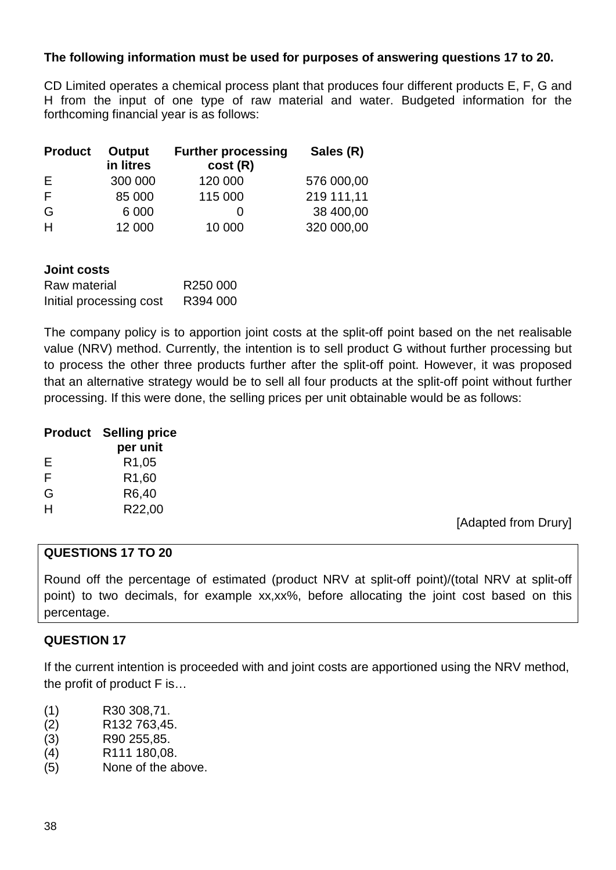## **The following information must be used for purposes of answering questions 17 to 20.**

CD Limited operates a chemical process plant that produces four different products E, F, G and H from the input of one type of raw material and water. Budgeted information for the forthcoming financial year is as follows:

| <b>Product</b> | Output<br>in litres | <b>Further processing</b><br>cost(R) | Sales (R)  |
|----------------|---------------------|--------------------------------------|------------|
| Е              | 300 000             | 120 000                              | 576 000,00 |
| F              | 85 000              | 115 000                              | 219 111,11 |
| G              | 6 0 0 0             |                                      | 38 400,00  |
| H              | 12 000              | 10 000                               | 320 000,00 |

## **Joint costs**

| Raw material            | R <sub>250</sub> 000 |
|-------------------------|----------------------|
| Initial processing cost | R394 000             |

The company policy is to apportion joint costs at the split-off point based on the net realisable value (NRV) method. Currently, the intention is to sell product G without further processing but to process the other three products further after the split-off point. However, it was proposed that an alternative strategy would be to sell all four products at the split-off point without further processing. If this were done, the selling prices per unit obtainable would be as follows:

| <b>Product</b> | <b>Selling price</b> |  |
|----------------|----------------------|--|
|                | per unit             |  |
| Е              | R <sub>1</sub> ,05   |  |
| F              | R <sub>1</sub> ,60   |  |
| G              | R6,40                |  |
| н              | R22,00               |  |

[Adapted from Drury]

## **QUESTIONS 17 TO 20**

Round off the percentage of estimated (product NRV at split-off point)/(total NRV at split-off point) to two decimals, for example xx,xx%, before allocating the joint cost based on this percentage.

## **QUESTION 17**

If the current intention is proceeded with and joint costs are apportioned using the NRV method, the profit of product F is…

- (1) R30 308,71.
- (2) R132 763,45.
- (3) R90 255,85.
- (4) R111 180,08.
- (5) None of the above.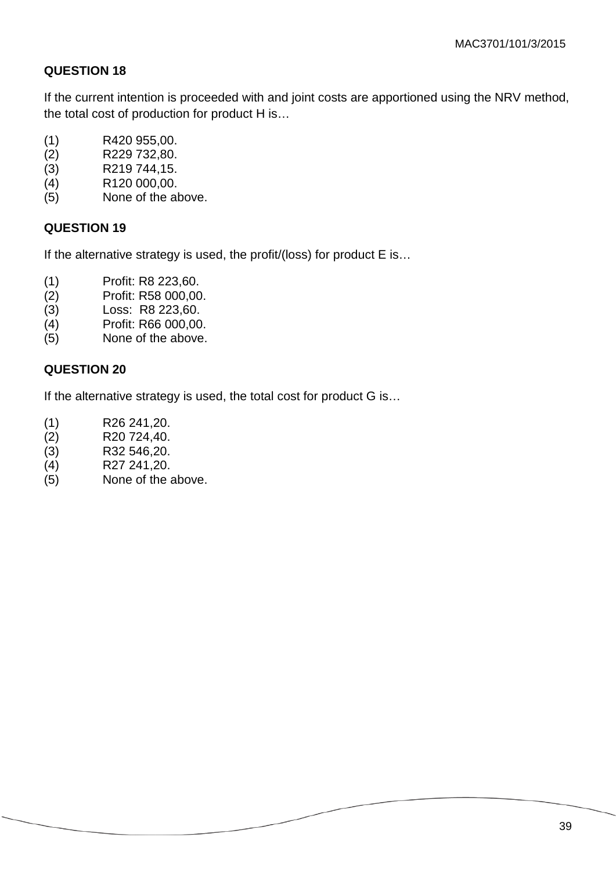If the current intention is proceeded with and joint costs are apportioned using the NRV method, the total cost of production for product H is…

- (1) R420 955,00.
- (2) R229 732,80.<br>(3) R219 744,15.
- R219 744,15.
- (4) R120 000,00.
- (5) None of the above.

## **QUESTION 19**

If the alternative strategy is used, the profit/(loss) for product E is…

- (1) Profit: R8 223,60.
- (2) Profit: R58 000,00.
- (3) Loss: R8 223,60.
- (4) Profit: R66 000,00.<br>(5) None of the above.
- None of the above.

## **QUESTION 20**

If the alternative strategy is used, the total cost for product G is…

- 
- (1) R26 241,20.
- (2) R20 724,40.<br>(3) R32 546,20. (3) R32 546,20.
- (4) R27 241,20.
- (5) None of the above.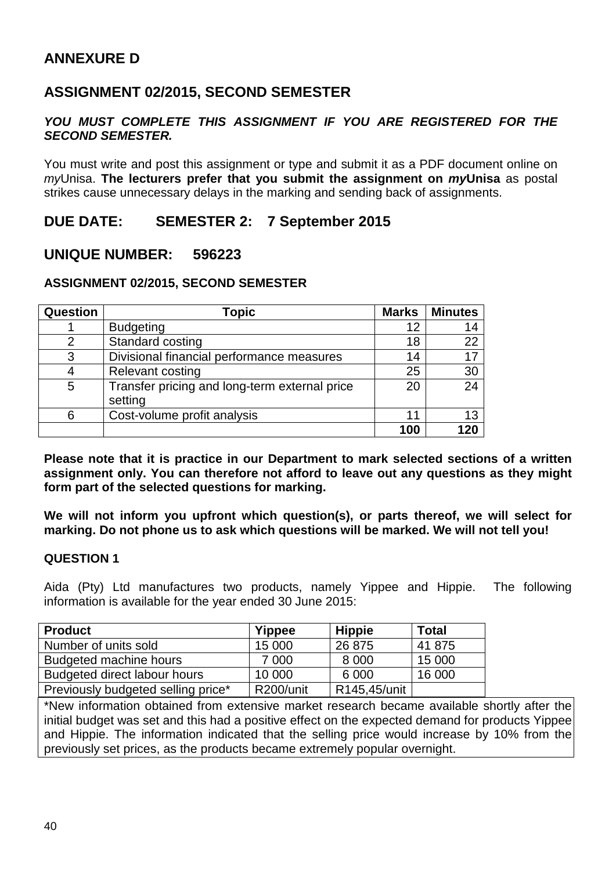## **ASSIGNMENT 02/2015, SECOND SEMESTER**

## *YOU MUST COMPLETE THIS ASSIGNMENT IF YOU ARE REGISTERED FOR THE SECOND SEMESTER.*

You must write and post this assignment or type and submit it as a PDF document online on *my*Unisa. **The lecturers prefer that you submit the assignment on** *my***Unisa** as postal strikes cause unnecessary delays in the marking and sending back of assignments.

## **DUE DATE: SEMESTER 2: 7 September 2015**

## **UNIQUE NUMBER: 596223**

## **ASSIGNMENT 02/2015, SECOND SEMESTER**

| <b>Question</b> | Topic                                                    | <b>Marks</b> | <b>Minutes</b> |
|-----------------|----------------------------------------------------------|--------------|----------------|
|                 | <b>Budgeting</b>                                         | 12           |                |
| 2               | Standard costing                                         | 18           | 22             |
| 3               | Divisional financial performance measures                | 14           | 17             |
|                 | <b>Relevant costing</b>                                  | 25           | 30             |
| 5               | Transfer pricing and long-term external price<br>setting | 20           | 24             |
| 6               | Cost-volume profit analysis                              | 1            |                |
|                 |                                                          | 100          | ור             |

**Please note that it is practice in our Department to mark selected sections of a written assignment only. You can therefore not afford to leave out any questions as they might form part of the selected questions for marking.**

**We will not inform you upfront which question(s), or parts thereof, we will select for marking. Do not phone us to ask which questions will be marked. We will not tell you!**

## **QUESTION 1**

Aida (Pty) Ltd manufactures two products, namely Yippee and Hippie. The following information is available for the year ended 30 June 2015:

| <b>Product</b>                     | Yippee    | <b>Hippie</b> | <b>Total</b> |
|------------------------------------|-----------|---------------|--------------|
| Number of units sold               | 15 000    | 26 875        | 41 875       |
| Budgeted machine hours             | 7 0 0 0   | 8 0 0 0       | 15 000       |
| Budgeted direct labour hours       | 10 000    | 6 0 0 0       | 16 000       |
| Previously budgeted selling price* | R200/unit | R145,45/unit  |              |

\*New information obtained from extensive market research became available shortly after the initial budget was set and this had a positive effect on the expected demand for products Yippee and Hippie. The information indicated that the selling price would increase by 10% from the previously set prices, as the products became extremely popular overnight.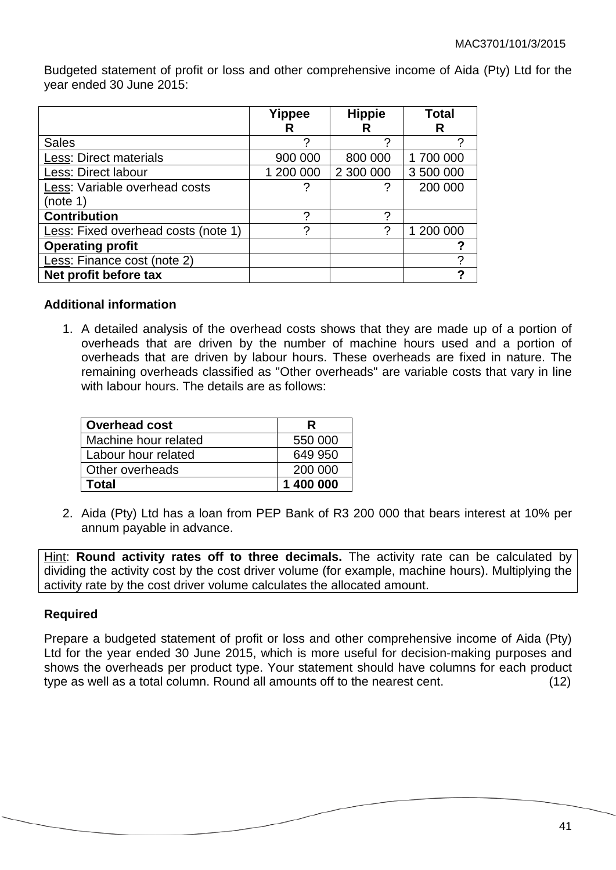Budgeted statement of profit or loss and other comprehensive income of Aida (Pty) Ltd for the year ended 30 June 2015:

|                                     | <b>Yippee</b><br>R | <b>Hippie</b><br>R | Total<br>R |
|-------------------------------------|--------------------|--------------------|------------|
| <b>Sales</b>                        |                    | ኅ                  | ?          |
| Less: Direct materials              | 900 000            | 800 000            | 1700 000   |
| Less: Direct labour                 | 1 200 000          | 2 300 000          | 3 500 000  |
| Less: Variable overhead costs       |                    |                    | 200 000    |
| (note 1)                            |                    |                    |            |
| <b>Contribution</b>                 | 2                  | 2                  |            |
| Less: Fixed overhead costs (note 1) | 7                  |                    | 1 200 000  |
| <b>Operating profit</b>             |                    |                    | 7          |
| Less: Finance cost (note 2)         |                    |                    | ?          |
| Net profit before tax               |                    |                    | 2          |

## **Additional information**

1. A detailed analysis of the overhead costs shows that they are made up of a portion of overheads that are driven by the number of machine hours used and a portion of overheads that are driven by labour hours. These overheads are fixed in nature. The remaining overheads classified as "Other overheads" are variable costs that vary in line with labour hours. The details are as follows:

| <b>Overhead cost</b> | R         |
|----------------------|-----------|
| Machine hour related | 550 000   |
| Labour hour related  | 649 950   |
| Other overheads      | 200 000   |
| Total                | 1 400 000 |

2. Aida (Pty) Ltd has a loan from PEP Bank of R3 200 000 that bears interest at 10% per annum payable in advance.

Hint: **Round activity rates off to three decimals.** The activity rate can be calculated by dividing the activity cost by the cost driver volume (for example, machine hours). Multiplying the activity rate by the cost driver volume calculates the allocated amount.

## **Required**

Prepare a budgeted statement of profit or loss and other comprehensive income of Aida (Pty) Ltd for the year ended 30 June 2015, which is more useful for decision-making purposes and shows the overheads per product type. Your statement should have columns for each product type as well as a total column. Round all amounts off to the nearest cent. (12)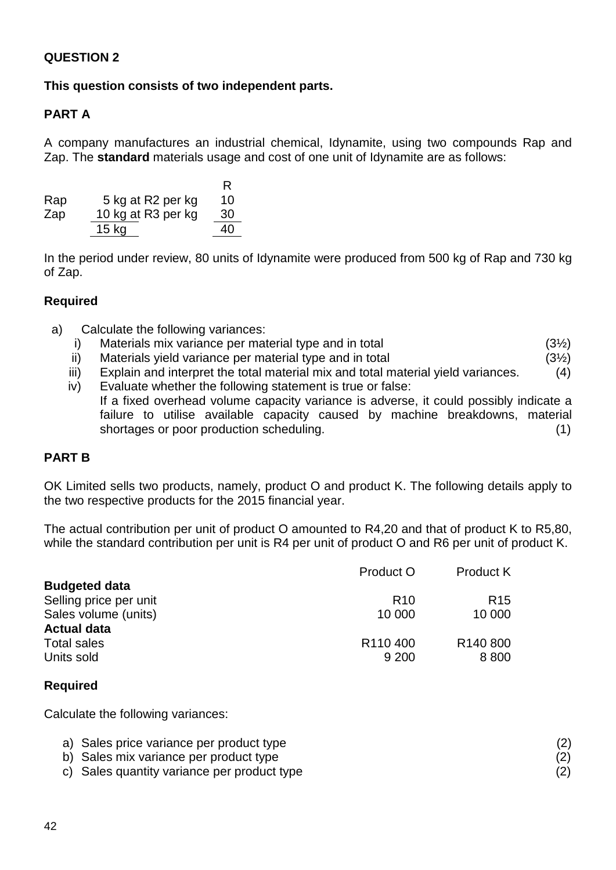## **This question consists of two independent parts.**

## **PART A**

A company manufactures an industrial chemical, Idynamite, using two compounds Rap and Zap. The **standard** materials usage and cost of one unit of Idynamite are as follows:

|     |                    | R  |
|-----|--------------------|----|
| Rap | 5 kg at R2 per kg  | 10 |
| Zap | 10 kg at R3 per kg | 30 |
|     | $15$ kg            | 40 |

In the period under review, 80 units of Idynamite were produced from 500 kg of Rap and 730 kg of Zap.

## **Required**

- a) Calculate the following variances:
	- i) Materials mix variance per material type and in total  $(3\frac{1}{2})$
	- ii) Materials yield variance per material type and in total  $(3\frac{1}{2})$
	- iii) Explain and interpret the total material mix and total material yield variances. (4)
	- iv) Evaluate whether the following statement is true or false: If a fixed overhead volume capacity variance is adverse, it could possibly indicate a failure to utilise available capacity caused by machine breakdowns, material shortages or poor production scheduling. (1) (1)

## **PART B**

OK Limited sells two products, namely, product O and product K. The following details apply to the two respective products for the 2015 financial year.

The actual contribution per unit of product O amounted to R4,20 and that of product K to R5,80, while the standard contribution per unit is R4 per unit of product O and R6 per unit of product K.

|                        | Product O            | <b>Product K</b>     |
|------------------------|----------------------|----------------------|
| <b>Budgeted data</b>   |                      |                      |
| Selling price per unit | R <sub>10</sub>      | R <sub>15</sub>      |
| Sales volume (units)   | 10 000               | 10 000               |
| <b>Actual data</b>     |                      |                      |
| <b>Total sales</b>     | R <sub>110</sub> 400 | R <sub>140</sub> 800 |
| Units sold             | 9 2 0 0              | 8800                 |
|                        |                      |                      |

## **Required**

Calculate the following variances:

- a) Sales price variance per product type (2) (2)
- b) Sales mix variance per product type (2)
- c) Sales quantity variance per product type (2)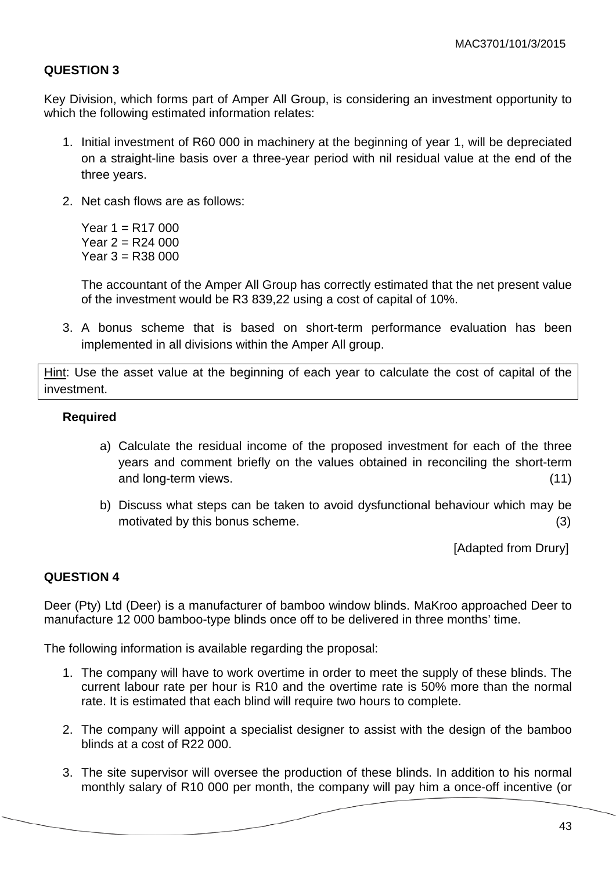Key Division, which forms part of Amper All Group, is considering an investment opportunity to which the following estimated information relates:

- 1. Initial investment of R60 000 in machinery at the beginning of year 1, will be depreciated on a straight-line basis over a three-year period with nil residual value at the end of the three years.
- 2. Net cash flows are as follows:

Year  $1 = R17000$ Year  $2 = R24000$ Year 3 = R38 000

The accountant of the Amper All Group has correctly estimated that the net present value of the investment would be R3 839,22 using a cost of capital of 10%.

3. A bonus scheme that is based on short-term performance evaluation has been implemented in all divisions within the Amper All group.

Hint: Use the asset value at the beginning of each year to calculate the cost of capital of the investment.

#### **Required**

- a) Calculate the residual income of the proposed investment for each of the three years and comment briefly on the values obtained in reconciling the short-term and long-term views. (11)
- b) Discuss what steps can be taken to avoid dysfunctional behaviour which may be motivated by this bonus scheme. (3)

[Adapted from Drury]

## **QUESTION 4**

Deer (Pty) Ltd (Deer) is a manufacturer of bamboo window blinds. MaKroo approached Deer to manufacture 12 000 bamboo-type blinds once off to be delivered in three months' time.

The following information is available regarding the proposal:

- 1. The company will have to work overtime in order to meet the supply of these blinds. The current labour rate per hour is R10 and the overtime rate is 50% more than the normal rate. It is estimated that each blind will require two hours to complete.
- 2. The company will appoint a specialist designer to assist with the design of the bamboo blinds at a cost of R22 000.
- 3. The site supervisor will oversee the production of these blinds. In addition to his normal monthly salary of R10 000 per month, the company will pay him a once-off incentive (or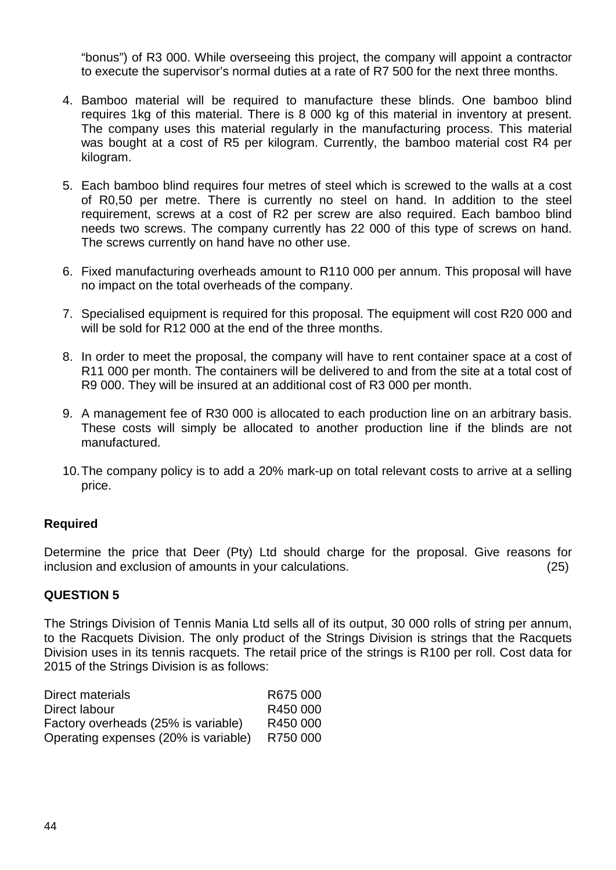"bonus") of R3 000. While overseeing this project, the company will appoint a contractor to execute the supervisor's normal duties at a rate of R7 500 for the next three months.

- 4. Bamboo material will be required to manufacture these blinds. One bamboo blind requires 1kg of this material. There is 8 000 kg of this material in inventory at present. The company uses this material regularly in the manufacturing process. This material was bought at a cost of R5 per kilogram. Currently, the bamboo material cost R4 per kilogram.
- 5. Each bamboo blind requires four metres of steel which is screwed to the walls at a cost of R0,50 per metre. There is currently no steel on hand. In addition to the steel requirement, screws at a cost of R2 per screw are also required. Each bamboo blind needs two screws. The company currently has 22 000 of this type of screws on hand. The screws currently on hand have no other use.
- 6. Fixed manufacturing overheads amount to R110 000 per annum. This proposal will have no impact on the total overheads of the company.
- 7. Specialised equipment is required for this proposal. The equipment will cost R20 000 and will be sold for R12 000 at the end of the three months.
- 8. In order to meet the proposal, the company will have to rent container space at a cost of R11 000 per month. The containers will be delivered to and from the site at a total cost of R9 000. They will be insured at an additional cost of R3 000 per month.
- 9. A management fee of R30 000 is allocated to each production line on an arbitrary basis. These costs will simply be allocated to another production line if the blinds are not manufactured.
- 10.The company policy is to add a 20% mark-up on total relevant costs to arrive at a selling price.

## **Required**

Determine the price that Deer (Pty) Ltd should charge for the proposal. Give reasons for inclusion and exclusion of amounts in your calculations. (25)

## **QUESTION 5**

The Strings Division of Tennis Mania Ltd sells all of its output, 30 000 rolls of string per annum, to the Racquets Division. The only product of the Strings Division is strings that the Racquets Division uses in its tennis racquets. The retail price of the strings is R100 per roll. Cost data for 2015 of the Strings Division is as follows:

| Direct materials                     | R675 000 |
|--------------------------------------|----------|
| Direct labour                        | R450 000 |
| Factory overheads (25% is variable)  | R450 000 |
| Operating expenses (20% is variable) | R750 000 |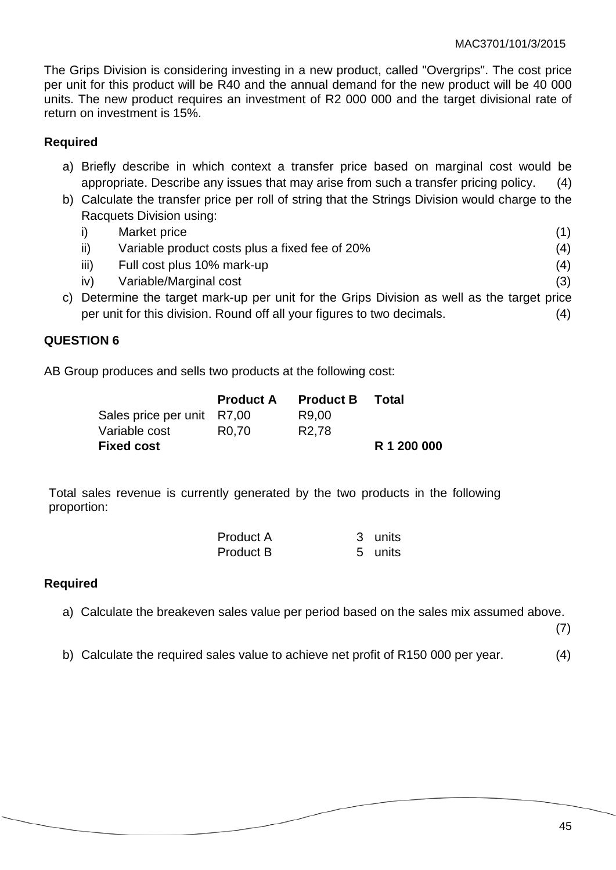The Grips Division is considering investing in a new product, called "Overgrips". The cost price per unit for this product will be R40 and the annual demand for the new product will be 40 000 units. The new product requires an investment of R2 000 000 and the target divisional rate of return on investment is 15%.

## **Required**

- a) Briefly describe in which context a transfer price based on marginal cost would be appropriate. Describe any issues that may arise from such a transfer pricing policy. (4)
- b) Calculate the transfer price per roll of string that the Strings Division would charge to the Racquets Division using:
	- i) Market price (1) ii) Variable product costs plus a fixed fee of 20% (4) iii) Full cost plus  $10\%$  mark-up (4)
	- iv) Variable/Marginal cost (3)
- c) Determine the target mark-up per unit for the Grips Division as well as the target price per unit for this division. Round off all your figures to two decimals. (4)

## **QUESTION 6**

AB Group produces and sells two products at the following cost:

|                            | <b>Product A</b>   | <b>Product B</b>   | Total       |
|----------------------------|--------------------|--------------------|-------------|
| Sales price per unit R7,00 |                    | R9,00              |             |
| Variable cost              | R <sub>0</sub> .70 | R <sub>2</sub> ,78 |             |
| <b>Fixed cost</b>          |                    |                    | R 1 200 000 |

Total sales revenue is currently generated by the two products in the following proportion:

| <b>Product A</b> | 3 units |
|------------------|---------|
| <b>Product B</b> | 5 units |

## **Required**

a) Calculate the breakeven sales value per period based on the sales mix assumed above.

(7)

b) Calculate the required sales value to achieve net profit of R150 000 per year. (4)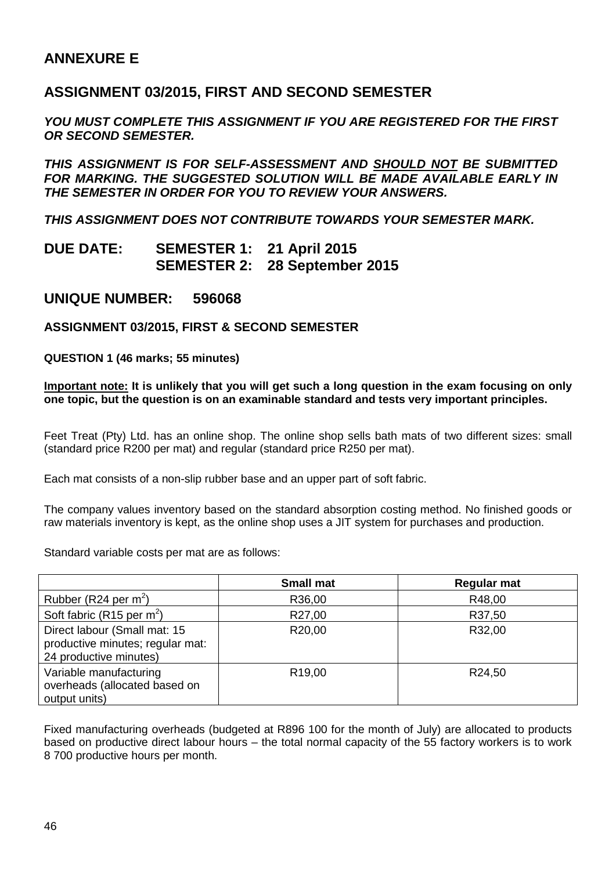## **ANNEXURE E**

## **ASSIGNMENT 03/2015, FIRST AND SECOND SEMESTER**

*YOU MUST COMPLETE THIS ASSIGNMENT IF YOU ARE REGISTERED FOR THE FIRST OR SECOND SEMESTER.*

*THIS ASSIGNMENT IS FOR SELF-ASSESSMENT AND SHOULD NOT BE SUBMITTED*  FOR MARKING. THE SUGGESTED SOLUTION WILL BE MADE AVAILABLE EARLY IN *THE SEMESTER IN ORDER FOR YOU TO REVIEW YOUR ANSWERS.*

*THIS ASSIGNMENT DOES NOT CONTRIBUTE TOWARDS YOUR SEMESTER MARK.*

## **DUE DATE: SEMESTER 1: 21 April 2015 SEMESTER 2: 28 September 2015**

#### **UNIQUE NUMBER: 596068**

#### **ASSIGNMENT 03/2015, FIRST & SECOND SEMESTER**

#### **QUESTION 1 (46 marks; 55 minutes)**

**Important note: It is unlikely that you will get such a long question in the exam focusing on only one topic, but the question is on an examinable standard and tests very important principles.**

Feet Treat (Pty) Ltd. has an online shop. The online shop sells bath mats of two different sizes: small (standard price R200 per mat) and regular (standard price R250 per mat).

Each mat consists of a non-slip rubber base and an upper part of soft fabric.

The company values inventory based on the standard absorption costing method. No finished goods or raw materials inventory is kept, as the online shop uses a JIT system for purchases and production.

Standard variable costs per mat are as follows:

|                                                                                            | <b>Small mat</b>   | <b>Regular mat</b> |
|--------------------------------------------------------------------------------------------|--------------------|--------------------|
| Rubber (R24 per $m^2$ )                                                                    | R36,00             | R48,00             |
| Soft fabric (R15 per $m^2$ )                                                               | R27,00             | R37,50             |
| Direct labour (Small mat: 15<br>productive minutes; regular mat:<br>24 productive minutes) | R20,00             | R32,00             |
| Variable manufacturing<br>overheads (allocated based on<br>output units)                   | R <sub>19,00</sub> | R24,50             |

Fixed manufacturing overheads (budgeted at R896 100 for the month of July) are allocated to products based on productive direct labour hours – the total normal capacity of the 55 factory workers is to work 8 700 productive hours per month.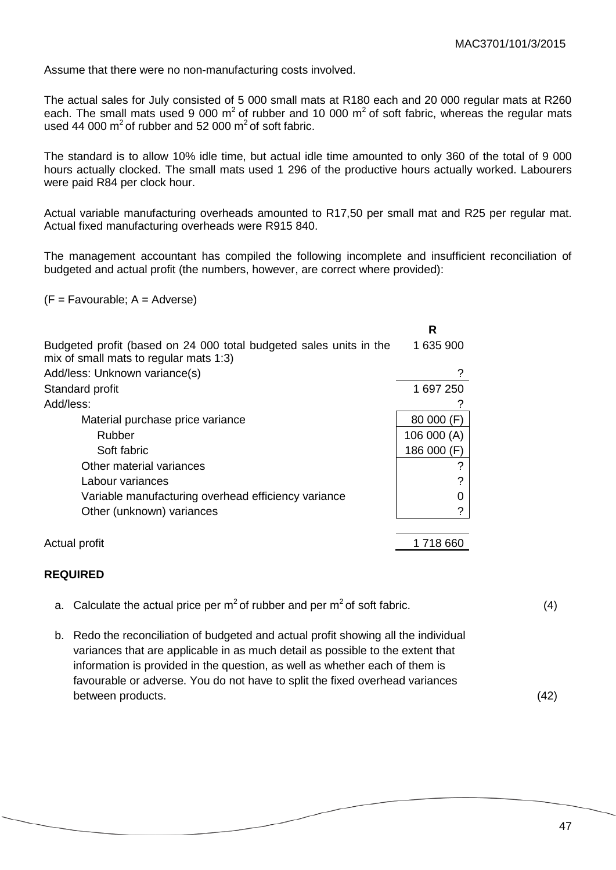Assume that there were no non-manufacturing costs involved.

The actual sales for July consisted of 5 000 small mats at R180 each and 20 000 regular mats at R260 each. The small mats used 9 000  $m^2$  of rubber and 10 000  $m^2$  of soft fabric, whereas the regular mats used 44 000  $\text{m}^2$  of rubber and 52 000  $\text{m}^2$  of soft fabric.

The standard is to allow 10% idle time, but actual idle time amounted to only 360 of the total of 9 000 hours actually clocked. The small mats used 1 296 of the productive hours actually worked. Labourers were paid R84 per clock hour.

Actual variable manufacturing overheads amounted to R17,50 per small mat and R25 per regular mat. Actual fixed manufacturing overheads were R915 840.

The management accountant has compiled the following incomplete and insufficient reconciliation of budgeted and actual profit (the numbers, however, are correct where provided):

#### $(F = Favourable; A = Adverse)$

|                                                                                                              | R           |
|--------------------------------------------------------------------------------------------------------------|-------------|
| Budgeted profit (based on 24 000 total budgeted sales units in the<br>mix of small mats to regular mats 1:3) | 1 635 900   |
| Add/less: Unknown variance(s)                                                                                | ?           |
| Standard profit                                                                                              | 1 697 250   |
| Add/less:                                                                                                    |             |
| Material purchase price variance                                                                             | 80 000 (F)  |
| Rubber                                                                                                       | 106 000 (A) |
| Soft fabric                                                                                                  | 186 000 (F) |
| Other material variances                                                                                     | 2           |
| Labour variances                                                                                             | 2           |
| Variable manufacturing overhead efficiency variance                                                          | O           |
| Other (unknown) variances                                                                                    | ?           |
|                                                                                                              |             |
| Actual profit                                                                                                | 1 718 660   |

#### **REQUIRED**

- a. Calculate the actual price per  $m^2$  of rubber and per  $m^2$  of soft fabric. (4)
- b. Redo the reconciliation of budgeted and actual profit showing all the individual variances that are applicable in as much detail as possible to the extent that information is provided in the question, as well as whether each of them is favourable or adverse. You do not have to split the fixed overhead variances between products. (42)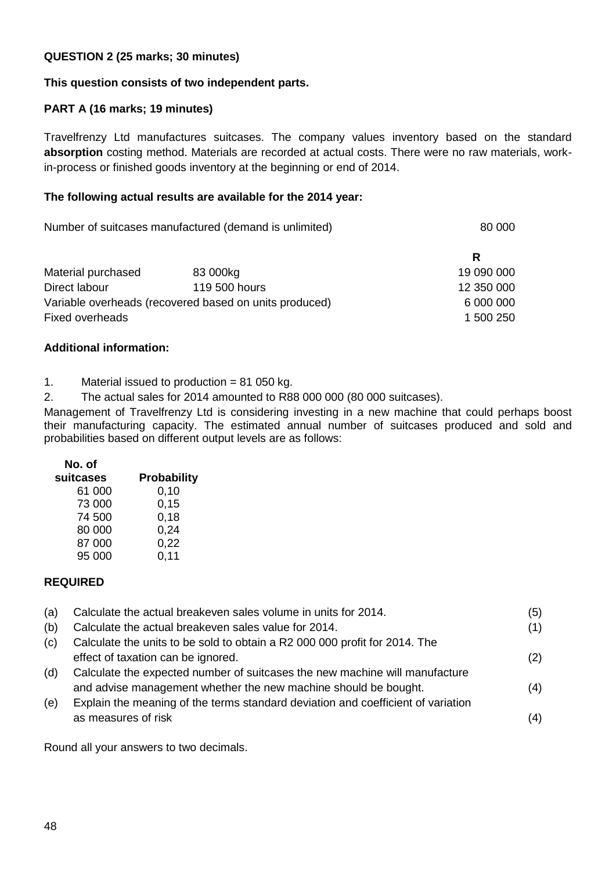## **QUESTION 2 (25 marks; 30 minutes)**

#### **This question consists of two independent parts.**

#### **PART A (16 marks; 19 minutes)**

Travelfrenzy Ltd manufactures suitcases. The company values inventory based on the standard **absorption** costing method. Materials are recorded at actual costs. There were no raw materials, workin-process or finished goods inventory at the beginning or end of 2014.

#### **The following actual results are available for the 2014 year:**

| Number of suitcases manufactured (demand is unlimited) | 80 000 |
|--------------------------------------------------------|--------|
|--------------------------------------------------------|--------|

|                                                        |               | R          |
|--------------------------------------------------------|---------------|------------|
| Material purchased                                     | 83 000kg      | 19 090 000 |
| Direct labour                                          | 119 500 hours | 12 350 000 |
| Variable overheads (recovered based on units produced) |               | 6 000 000  |
| <b>Fixed overheads</b>                                 |               | 1 500 250  |

#### **Additional information:**

1. Material issued to production = 81 050 kg.

2. The actual sales for 2014 amounted to R88 000 000 (80 000 suitcases).

Management of Travelfrenzy Ltd is considering investing in a new machine that could perhaps boost their manufacturing capacity. The estimated annual number of suitcases produced and sold and probabilities based on different output levels are as follows:

| No. of    |             |
|-----------|-------------|
| suitcases | Probability |
| 61 000    | 0, 10       |
| 73 000    | 0, 15       |
| 74 500    | 0,18        |
| 80 000    | 0,24        |
| 87 000    | 0,22        |
| 95 000    | 0.11        |

## **REQUIRED**

| (a) | Calculate the actual breakeven sales volume in units for 2014.                   | (5) |
|-----|----------------------------------------------------------------------------------|-----|
| (b) | Calculate the actual breakeven sales value for 2014.                             | (1) |
| (c) | Calculate the units to be sold to obtain a R2 000 000 profit for 2014. The       |     |
|     | effect of taxation can be ignored.                                               | (2) |
| (d) | Calculate the expected number of suitcases the new machine will manufacture      |     |
|     | and advise management whether the new machine should be bought.                  | (4) |
| (e) | Explain the meaning of the terms standard deviation and coefficient of variation |     |
|     | as measures of risk                                                              | (4) |
|     |                                                                                  |     |

Round all your answers to two decimals.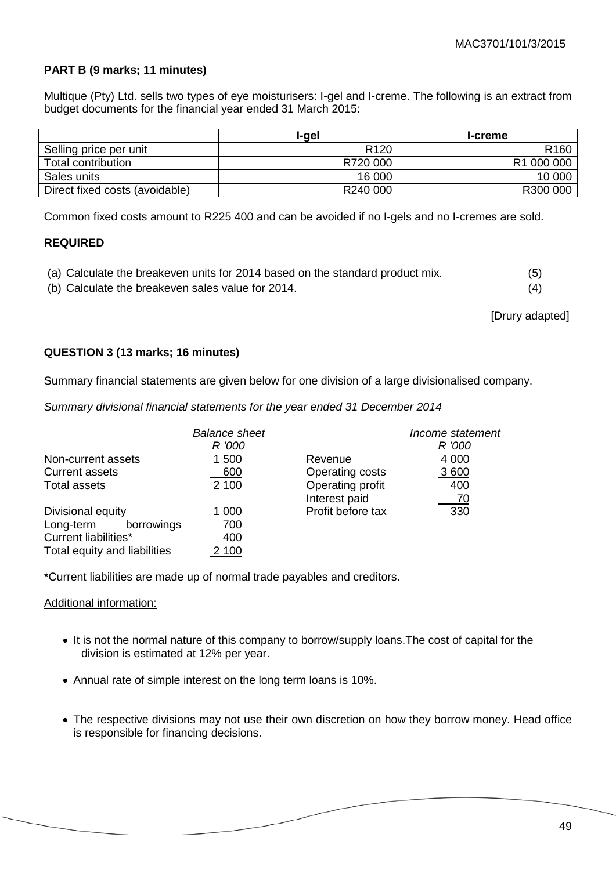#### **PART B (9 marks; 11 minutes)**

Multique (Pty) Ltd. sells two types of eye moisturisers: I-gel and I-creme. The following is an extract from budget documents for the financial year ended 31 March 2015:

|                                | I-gel                | <b>I-creme</b>   |
|--------------------------------|----------------------|------------------|
| Selling price per unit         | R <sub>120</sub>     | R <sub>160</sub> |
| Total contribution             | R720 000             | R1 000 000       |
| Sales units                    | 16 000               | 100001           |
| Direct fixed costs (avoidable) | R <sub>240</sub> 000 | R300 000         |

Common fixed costs amount to R225 400 and can be avoided if no I-gels and no I-cremes are sold.

#### **REQUIRED**

- (a) Calculate the breakeven units for 2014 based on the standard product mix. (5) (b) Calculate the breakeven sales value for 2014. (4)
- 

[Drury adapted]

#### **QUESTION 3 (13 marks; 16 minutes)**

Summary financial statements are given below for one division of a large divisionalised company.

*Summary divisional financial statements for the year ended 31 December 2014*

|                              | <b>Balance sheet</b><br>R '000 |                   | Income statement<br>R '000 |
|------------------------------|--------------------------------|-------------------|----------------------------|
| Non-current assets           | 1 500                          | Revenue           | 4 0 0 0                    |
| <b>Current assets</b>        | 600                            | Operating costs   | 3600                       |
| <b>Total assets</b>          | 2 100                          | Operating profit  | 400                        |
|                              |                                | Interest paid     | 70                         |
| Divisional equity            | 1 000                          | Profit before tax | 330                        |
| borrowings<br>Long-term      | 700                            |                   |                            |
| Current liabilities*         | 400                            |                   |                            |
| Total equity and liabilities | 2 100                          |                   |                            |

\*Current liabilities are made up of normal trade payables and creditors.

#### Additional information:

- It is not the normal nature of this company to borrow/supply loans.The cost of capital for the division is estimated at 12% per year.
- Annual rate of simple interest on the long term loans is 10%.
- The respective divisions may not use their own discretion on how they borrow money. Head office is responsible for financing decisions.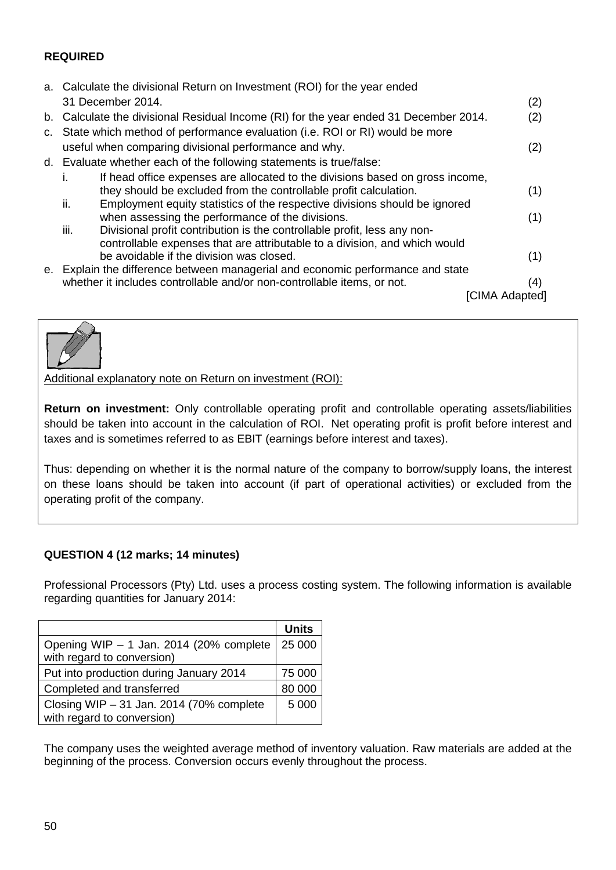## **REQUIRED**

|    | a. Calculate the divisional Return on Investment (ROI) for the year ended<br>31 December 2014.                                                         | (2) |
|----|--------------------------------------------------------------------------------------------------------------------------------------------------------|-----|
|    | b. Calculate the divisional Residual Income (RI) for the year ended 31 December 2014.                                                                  | (2) |
| C. | State which method of performance evaluation (i.e. ROI or RI) would be more                                                                            |     |
|    | useful when comparing divisional performance and why.                                                                                                  | (2) |
|    | d. Evaluate whether each of the following statements is true/false:                                                                                    |     |
|    | If head office expenses are allocated to the divisions based on gross income,                                                                          |     |
|    | they should be excluded from the controllable profit calculation.                                                                                      | (1) |
|    | ii.<br>Employment equity statistics of the respective divisions should be ignored                                                                      |     |
|    | when assessing the performance of the divisions.<br>iii.                                                                                               | (1) |
|    | Divisional profit contribution is the controllable profit, less any non-<br>controllable expenses that are attributable to a division, and which would |     |
|    | be avoidable if the division was closed.                                                                                                               | (1) |
|    | e. Explain the difference between managerial and economic performance and state                                                                        |     |
|    | whether it includes controllable and/or non-controllable items, or not.                                                                                | (4) |
|    | CIMA Adapted]                                                                                                                                          |     |



Additional explanatory note on Return on investment (ROI):

**Return on investment:** Only controllable operating profit and controllable operating assets/liabilities should be taken into account in the calculation of ROI. Net operating profit is profit before interest and taxes and is sometimes referred to as EBIT (earnings before interest and taxes).

Thus: depending on whether it is the normal nature of the company to borrow/supply loans, the interest on these loans should be taken into account (if part of operational activities) or excluded from the operating profit of the company.

## **QUESTION 4 (12 marks; 14 minutes)**

Professional Processors (Pty) Ltd. uses a process costing system. The following information is available regarding quantities for January 2014:

|                                                                         | <b>Units</b> |
|-------------------------------------------------------------------------|--------------|
| Opening WIP - 1 Jan. 2014 (20% complete<br>with regard to conversion)   | 25 000       |
| Put into production during January 2014                                 | 75 000       |
| Completed and transferred                                               | 80 000       |
| Closing WIP $-31$ Jan. 2014 (70% complete<br>with regard to conversion) | 5 0 0 0      |

The company uses the weighted average method of inventory valuation. Raw materials are added at the beginning of the process. Conversion occurs evenly throughout the process.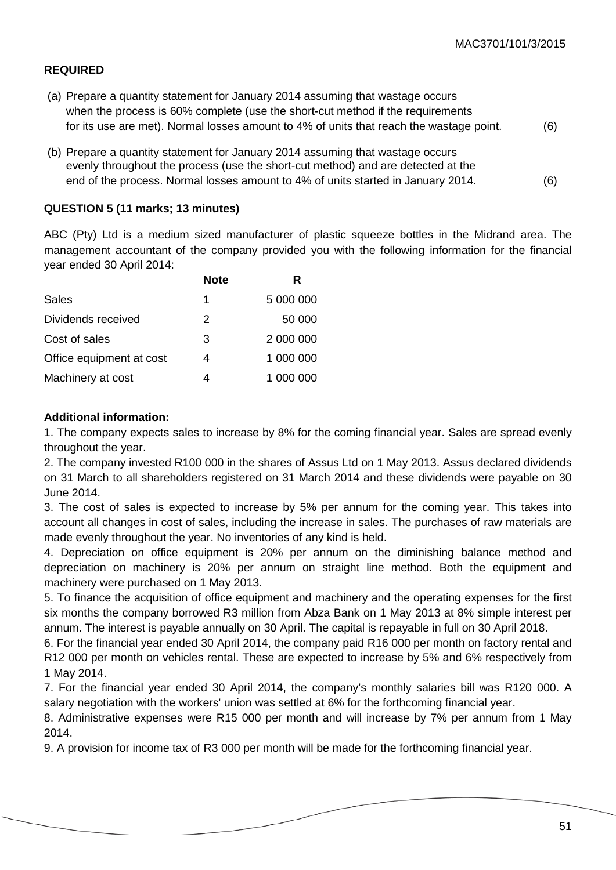## **REQUIRED**

- (a) Prepare a quantity statement for January 2014 assuming that wastage occurs when the process is 60% complete (use the short-cut method if the requirements for its use are met). Normal losses amount to 4% of units that reach the wastage point. (6)
- (b) Prepare a quantity statement for January 2014 assuming that wastage occurs evenly throughout the process (use the short-cut method) and are detected at the end of the process. Normal losses amount to 4% of units started in January 2014. (6)

## **QUESTION 5 (11 marks; 13 minutes)**

ABC (Pty) Ltd is a medium sized manufacturer of plastic squeeze bottles in the Midrand area. The management accountant of the company provided you with the following information for the financial year ended 30 April 2014:

|                          | <b>Note</b> | R         |
|--------------------------|-------------|-----------|
| <b>Sales</b>             | 1           | 5 000 000 |
| Dividends received       | 2           | 50 000    |
| Cost of sales            | 3           | 2 000 000 |
| Office equipment at cost | 4           | 1 000 000 |
| Machinery at cost        | 4           | 1 000 000 |

#### **Additional information:**

1. The company expects sales to increase by 8% for the coming financial year. Sales are spread evenly throughout the year.

2. The company invested R100 000 in the shares of Assus Ltd on 1 May 2013. Assus declared dividends on 31 March to all shareholders registered on 31 March 2014 and these dividends were payable on 30 June 2014.

3. The cost of sales is expected to increase by 5% per annum for the coming year. This takes into account all changes in cost of sales, including the increase in sales. The purchases of raw materials are made evenly throughout the year. No inventories of any kind is held.

4. Depreciation on office equipment is 20% per annum on the diminishing balance method and depreciation on machinery is 20% per annum on straight line method. Both the equipment and machinery were purchased on 1 May 2013.

5. To finance the acquisition of office equipment and machinery and the operating expenses for the first six months the company borrowed R3 million from Abza Bank on 1 May 2013 at 8% simple interest per annum. The interest is payable annually on 30 April. The capital is repayable in full on 30 April 2018.

6. For the financial year ended 30 April 2014, the company paid R16 000 per month on factory rental and R12 000 per month on vehicles rental. These are expected to increase by 5% and 6% respectively from 1 May 2014.

7. For the financial year ended 30 April 2014, the company's monthly salaries bill was R120 000. A salary negotiation with the workers' union was settled at 6% for the forthcoming financial year.

8. Administrative expenses were R15 000 per month and will increase by 7% per annum from 1 May 2014.

9. A provision for income tax of R3 000 per month will be made for the forthcoming financial year.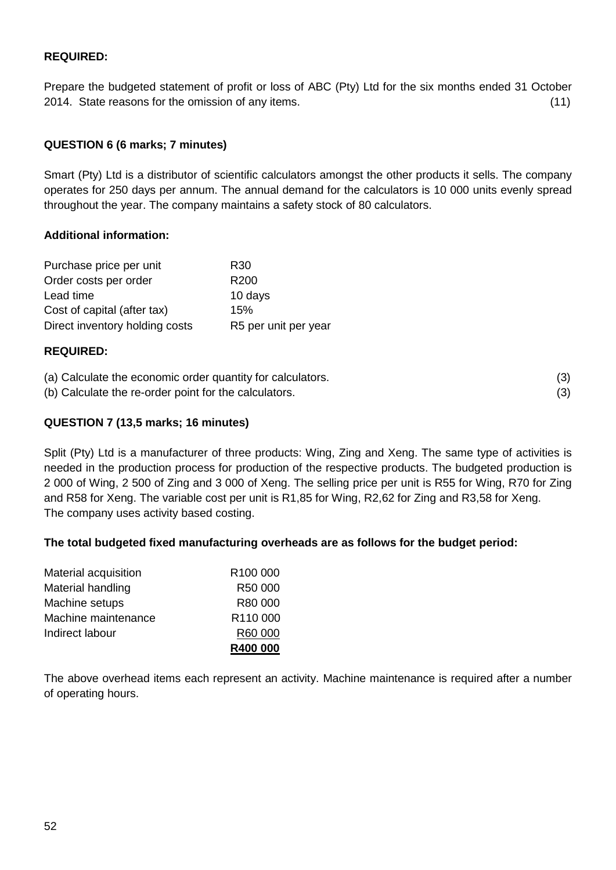#### **REQUIRED:**

Prepare the budgeted statement of profit or loss of ABC (Pty) Ltd for the six months ended 31 October 2014. State reasons for the omission of any items. (11)

#### **QUESTION 6 (6 marks; 7 minutes)**

Smart (Pty) Ltd is a distributor of scientific calculators amongst the other products it sells. The company operates for 250 days per annum. The annual demand for the calculators is 10 000 units evenly spread throughout the year. The company maintains a safety stock of 80 calculators.

#### **Additional information:**

| Purchase price per unit        | R <sub>30</sub>      |
|--------------------------------|----------------------|
| Order costs per order          | R <sub>200</sub>     |
| Lead time                      | 10 days              |
| Cost of capital (after tax)    | 15%                  |
| Direct inventory holding costs | R5 per unit per year |

#### **REQUIRED:**

| (a) Calculate the economic order quantity for calculators. |  |
|------------------------------------------------------------|--|
| (b) Calculate the re-order point for the calculators.      |  |

## **QUESTION 7 (13,5 marks; 16 minutes)**

Split (Pty) Ltd is a manufacturer of three products: Wing, Zing and Xeng. The same type of activities is needed in the production process for production of the respective products. The budgeted production is 2 000 of Wing, 2 500 of Zing and 3 000 of Xeng. The selling price per unit is R55 for Wing, R70 for Zing and R58 for Xeng. The variable cost per unit is R1,85 for Wing, R2,62 for Zing and R3,58 for Xeng. The company uses activity based costing.

#### **The total budgeted fixed manufacturing overheads are as follows for the budget period:**

|                      | R400 000             |
|----------------------|----------------------|
| Indirect labour      | R60 000              |
| Machine maintenance  | R <sub>110</sub> 000 |
| Machine setups       | R80 000              |
| Material handling    | R50 000              |
| Material acquisition | R <sub>100</sub> 000 |

The above overhead items each represent an activity. Machine maintenance is required after a number of operating hours.